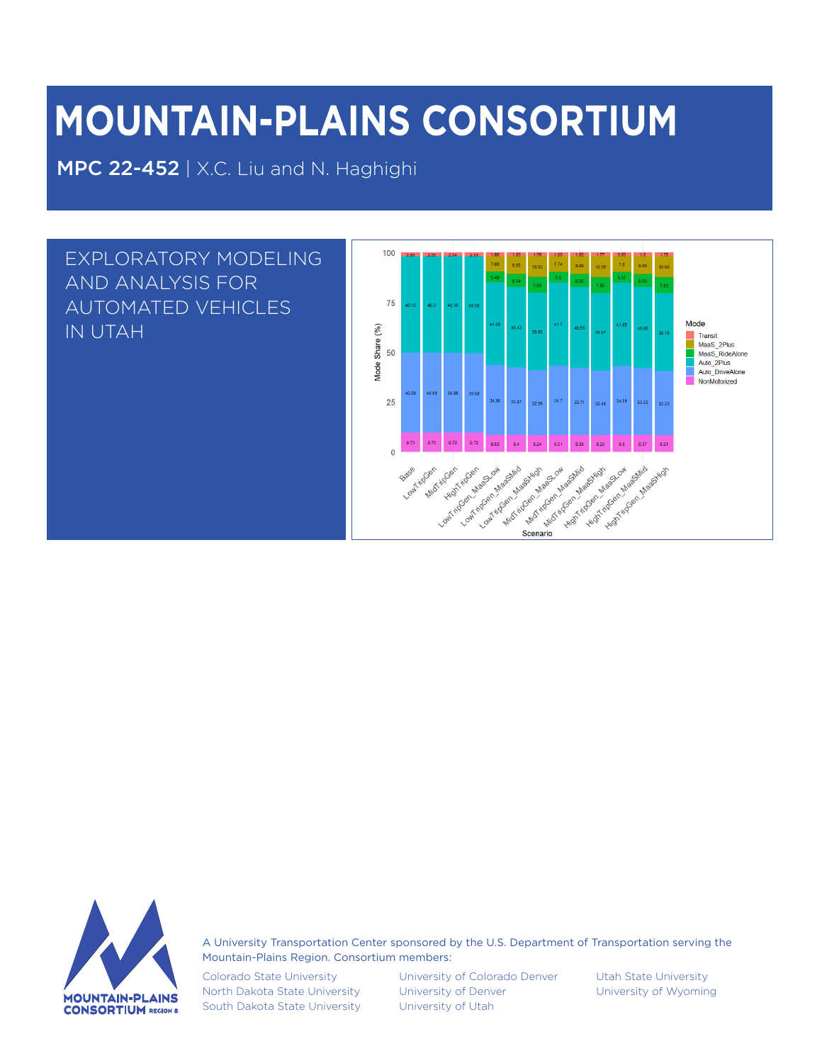# **MOUNTAIN-PLAINS CONSORTIUM**

MPC 22-452 | X.C. Liu and N. Haghighi





A University Transportation Center sponsored by the U.S. Department of Transportation serving the Mountain-Plains Region. Consortium members:

Colorado State University North Dakota State University South Dakota State University University of Colorado Denver University of Denver University of Utah

Utah State University University of Wyoming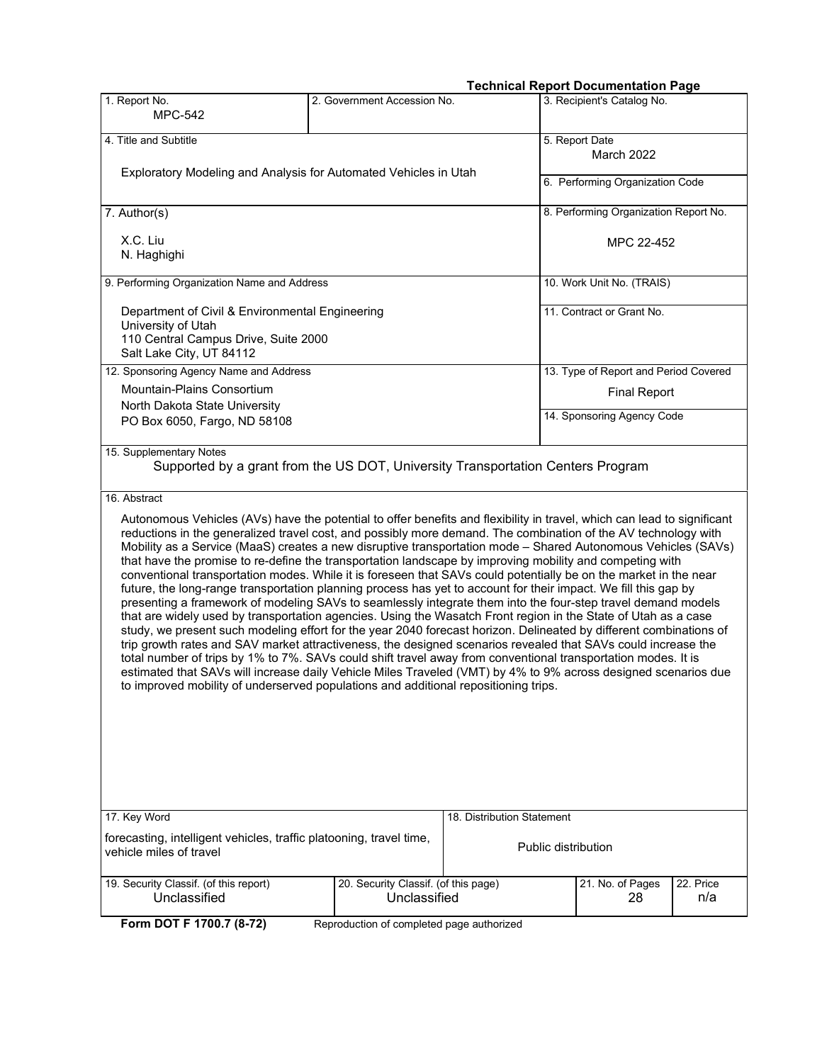#### **Technical Report Documentation Page**

| 1. Report No.                                                                                                                                                                                                                                                                                                                                                                                                                                                                                                                                                                                                                                                                                                                                                                                                                                                                                                                                                                                                                                                                                                                                                                                                                                                                                                                                                                                                                                                                                                                                                                                                                                  | 2. Government Accession No.                          |                                       | recimical Report Documentation Fage<br>3. Recipient's Catalog No. |  |  |  |  |
|------------------------------------------------------------------------------------------------------------------------------------------------------------------------------------------------------------------------------------------------------------------------------------------------------------------------------------------------------------------------------------------------------------------------------------------------------------------------------------------------------------------------------------------------------------------------------------------------------------------------------------------------------------------------------------------------------------------------------------------------------------------------------------------------------------------------------------------------------------------------------------------------------------------------------------------------------------------------------------------------------------------------------------------------------------------------------------------------------------------------------------------------------------------------------------------------------------------------------------------------------------------------------------------------------------------------------------------------------------------------------------------------------------------------------------------------------------------------------------------------------------------------------------------------------------------------------------------------------------------------------------------------|------------------------------------------------------|---------------------------------------|-------------------------------------------------------------------|--|--|--|--|
| <b>MPC-542</b>                                                                                                                                                                                                                                                                                                                                                                                                                                                                                                                                                                                                                                                                                                                                                                                                                                                                                                                                                                                                                                                                                                                                                                                                                                                                                                                                                                                                                                                                                                                                                                                                                                 |                                                      |                                       |                                                                   |  |  |  |  |
| 4. Title and Subtitle                                                                                                                                                                                                                                                                                                                                                                                                                                                                                                                                                                                                                                                                                                                                                                                                                                                                                                                                                                                                                                                                                                                                                                                                                                                                                                                                                                                                                                                                                                                                                                                                                          |                                                      |                                       | 5. Report Date                                                    |  |  |  |  |
|                                                                                                                                                                                                                                                                                                                                                                                                                                                                                                                                                                                                                                                                                                                                                                                                                                                                                                                                                                                                                                                                                                                                                                                                                                                                                                                                                                                                                                                                                                                                                                                                                                                |                                                      |                                       | <b>March 2022</b>                                                 |  |  |  |  |
| Exploratory Modeling and Analysis for Automated Vehicles in Utah                                                                                                                                                                                                                                                                                                                                                                                                                                                                                                                                                                                                                                                                                                                                                                                                                                                                                                                                                                                                                                                                                                                                                                                                                                                                                                                                                                                                                                                                                                                                                                               |                                                      | 6. Performing Organization Code       |                                                                   |  |  |  |  |
| 7. Author(s)                                                                                                                                                                                                                                                                                                                                                                                                                                                                                                                                                                                                                                                                                                                                                                                                                                                                                                                                                                                                                                                                                                                                                                                                                                                                                                                                                                                                                                                                                                                                                                                                                                   |                                                      | 8. Performing Organization Report No. |                                                                   |  |  |  |  |
| X.C. Liu<br>N. Haghighi                                                                                                                                                                                                                                                                                                                                                                                                                                                                                                                                                                                                                                                                                                                                                                                                                                                                                                                                                                                                                                                                                                                                                                                                                                                                                                                                                                                                                                                                                                                                                                                                                        |                                                      | MPC 22-452                            |                                                                   |  |  |  |  |
| 9. Performing Organization Name and Address                                                                                                                                                                                                                                                                                                                                                                                                                                                                                                                                                                                                                                                                                                                                                                                                                                                                                                                                                                                                                                                                                                                                                                                                                                                                                                                                                                                                                                                                                                                                                                                                    |                                                      | 10. Work Unit No. (TRAIS)             |                                                                   |  |  |  |  |
| Department of Civil & Environmental Engineering                                                                                                                                                                                                                                                                                                                                                                                                                                                                                                                                                                                                                                                                                                                                                                                                                                                                                                                                                                                                                                                                                                                                                                                                                                                                                                                                                                                                                                                                                                                                                                                                |                                                      |                                       | 11. Contract or Grant No.                                         |  |  |  |  |
| University of Utah<br>110 Central Campus Drive, Suite 2000<br>Salt Lake City, UT 84112                                                                                                                                                                                                                                                                                                                                                                                                                                                                                                                                                                                                                                                                                                                                                                                                                                                                                                                                                                                                                                                                                                                                                                                                                                                                                                                                                                                                                                                                                                                                                         |                                                      |                                       |                                                                   |  |  |  |  |
| 12. Sponsoring Agency Name and Address                                                                                                                                                                                                                                                                                                                                                                                                                                                                                                                                                                                                                                                                                                                                                                                                                                                                                                                                                                                                                                                                                                                                                                                                                                                                                                                                                                                                                                                                                                                                                                                                         |                                                      |                                       | 13. Type of Report and Period Covered                             |  |  |  |  |
| Mountain-Plains Consortium                                                                                                                                                                                                                                                                                                                                                                                                                                                                                                                                                                                                                                                                                                                                                                                                                                                                                                                                                                                                                                                                                                                                                                                                                                                                                                                                                                                                                                                                                                                                                                                                                     |                                                      |                                       | <b>Final Report</b>                                               |  |  |  |  |
| North Dakota State University                                                                                                                                                                                                                                                                                                                                                                                                                                                                                                                                                                                                                                                                                                                                                                                                                                                                                                                                                                                                                                                                                                                                                                                                                                                                                                                                                                                                                                                                                                                                                                                                                  |                                                      |                                       | 14. Sponsoring Agency Code                                        |  |  |  |  |
| PO Box 6050, Fargo, ND 58108                                                                                                                                                                                                                                                                                                                                                                                                                                                                                                                                                                                                                                                                                                                                                                                                                                                                                                                                                                                                                                                                                                                                                                                                                                                                                                                                                                                                                                                                                                                                                                                                                   |                                                      |                                       |                                                                   |  |  |  |  |
| 15. Supplementary Notes<br>Supported by a grant from the US DOT, University Transportation Centers Program<br>16. Abstract<br>Autonomous Vehicles (AVs) have the potential to offer benefits and flexibility in travel, which can lead to significant<br>reductions in the generalized travel cost, and possibly more demand. The combination of the AV technology with<br>Mobility as a Service (MaaS) creates a new disruptive transportation mode - Shared Autonomous Vehicles (SAVs)<br>that have the promise to re-define the transportation landscape by improving mobility and competing with<br>conventional transportation modes. While it is foreseen that SAVs could potentially be on the market in the near<br>future, the long-range transportation planning process has yet to account for their impact. We fill this gap by<br>presenting a framework of modeling SAVs to seamlessly integrate them into the four-step travel demand models<br>that are widely used by transportation agencies. Using the Wasatch Front region in the State of Utah as a case<br>study, we present such modeling effort for the year 2040 forecast horizon. Delineated by different combinations of<br>trip growth rates and SAV market attractiveness, the designed scenarios revealed that SAVs could increase the<br>total number of trips by 1% to 7%. SAVs could shift travel away from conventional transportation modes. It is<br>estimated that SAVs will increase daily Vehicle Miles Traveled (VMT) by 4% to 9% across designed scenarios due<br>to improved mobility of underserved populations and additional repositioning trips. |                                                      |                                       |                                                                   |  |  |  |  |
|                                                                                                                                                                                                                                                                                                                                                                                                                                                                                                                                                                                                                                                                                                                                                                                                                                                                                                                                                                                                                                                                                                                                                                                                                                                                                                                                                                                                                                                                                                                                                                                                                                                |                                                      |                                       |                                                                   |  |  |  |  |
| 17. Key Word                                                                                                                                                                                                                                                                                                                                                                                                                                                                                                                                                                                                                                                                                                                                                                                                                                                                                                                                                                                                                                                                                                                                                                                                                                                                                                                                                                                                                                                                                                                                                                                                                                   |                                                      | 18. Distribution Statement            |                                                                   |  |  |  |  |
| forecasting, intelligent vehicles, traffic platooning, travel time,<br>vehicle miles of travel                                                                                                                                                                                                                                                                                                                                                                                                                                                                                                                                                                                                                                                                                                                                                                                                                                                                                                                                                                                                                                                                                                                                                                                                                                                                                                                                                                                                                                                                                                                                                 |                                                      | Public distribution                   |                                                                   |  |  |  |  |
| 19. Security Classif. (of this report)<br>Unclassified                                                                                                                                                                                                                                                                                                                                                                                                                                                                                                                                                                                                                                                                                                                                                                                                                                                                                                                                                                                                                                                                                                                                                                                                                                                                                                                                                                                                                                                                                                                                                                                         | 20. Security Classif. (of this page)<br>Unclassified |                                       | 21. No. of Pages<br>22. Price<br>28<br>n/a                        |  |  |  |  |
| Form DOT F 1700.7 (8-72)                                                                                                                                                                                                                                                                                                                                                                                                                                                                                                                                                                                                                                                                                                                                                                                                                                                                                                                                                                                                                                                                                                                                                                                                                                                                                                                                                                                                                                                                                                                                                                                                                       | Reproduction of completed page authorized            |                                       |                                                                   |  |  |  |  |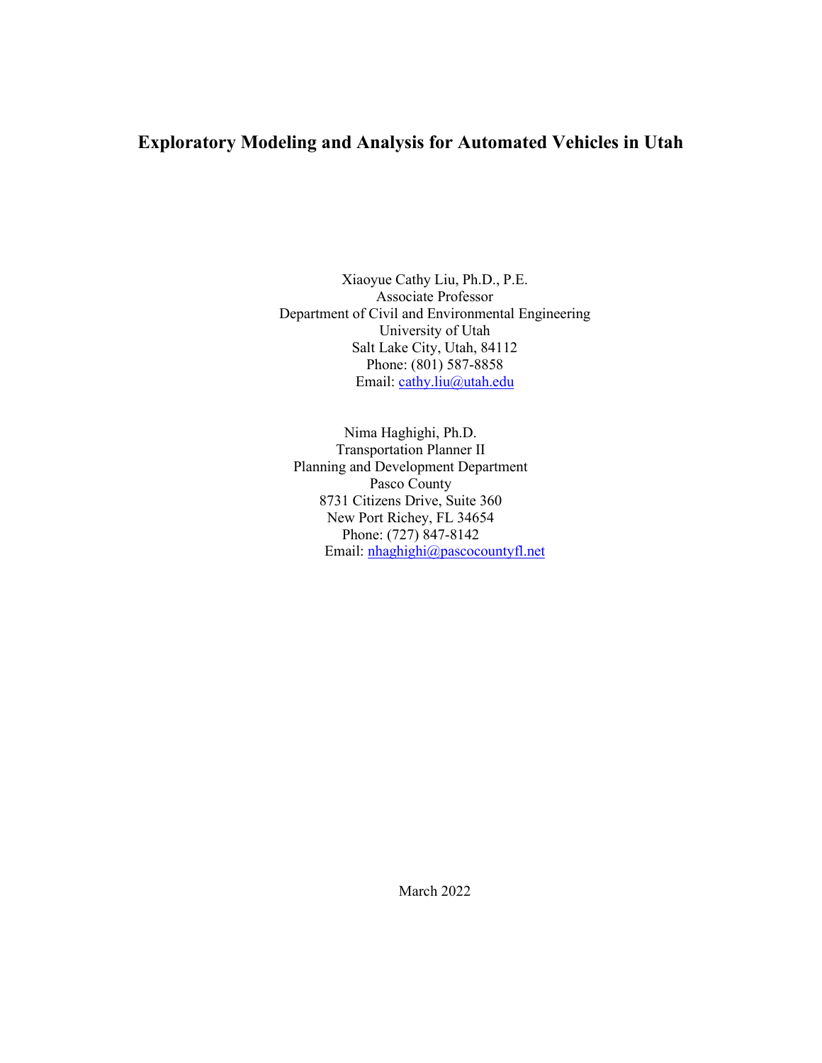## **Exploratory Modeling and Analysis for Automated Vehicles in Utah**

Xiaoyue Cathy Liu, Ph.D., P.E. Associate Professor Department of Civil and Environmental Engineering University of Utah Salt Lake City, Utah, 84112 Phone: (801) 587-8858 Email: [cathy.liu@utah.edu](mailto:cathy.liu@utah.edu)

Nima Haghighi, Ph.D. Transportation Planner II Planning and Development Department Pasco County 8731 Citizens Drive, Suite 360 New Port Richey, FL 34654 Phone: (727) 847-8142 Email: [nhaghighi@pascocountyfl.net](mailto:nhaghighi@pascocountyfl.net)

March 2022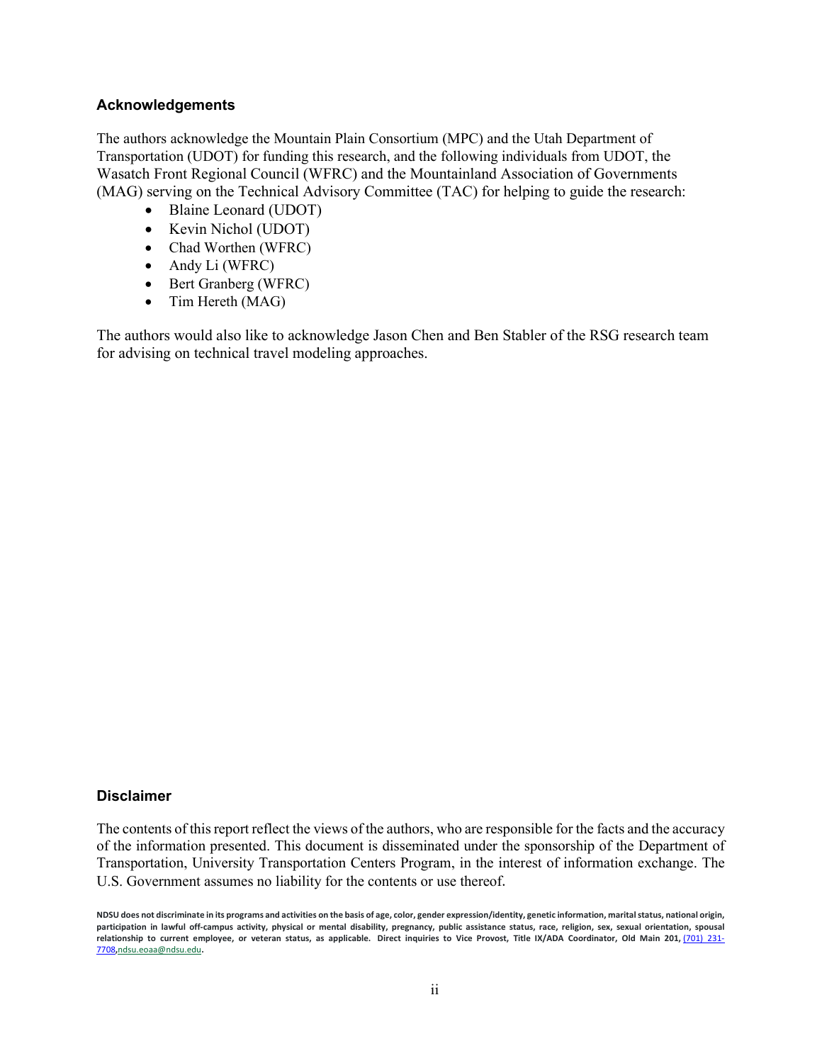#### **Acknowledgements**

The authors acknowledge the Mountain Plain Consortium (MPC) and the Utah Department of Transportation (UDOT) for funding this research, and the following individuals from UDOT, the Wasatch Front Regional Council (WFRC) and the Mountainland Association of Governments (MAG) serving on the Technical Advisory Committee (TAC) for helping to guide the research:

- Blaine Leonard (UDOT)
- Kevin Nichol (UDOT)
- Chad Worthen (WFRC)
- Andy Li (WFRC)
- Bert Granberg (WFRC)
- Tim Hereth (MAG)

The authors would also like to acknowledge Jason Chen and Ben Stabler of the RSG research team for advising on technical travel modeling approaches.

#### **Disclaimer**

The contents of this report reflect the views of the authors, who are responsible for the facts and the accuracy of the information presented. This document is disseminated under the sponsorship of the Department of Transportation, University Transportation Centers Program, in the interest of information exchange. The U.S. Government assumes no liability for the contents or use thereof.

**NDSU does not discriminate in its programs and activities on the basis of age, color, gender expression/identity, genetic information, marital status, national origin, participation in lawful off-campus activity, physical or mental disability, pregnancy, public assistance status, race, religion, sex, sexual orientation, spousal relationship to current employee, or veteran status, as applicable. Direct inquiries to Vice Provost, Title IX/ADA Coordinator, Old Main 201,** [\(701\) 231-](tel:7012317708) [7708](tel:7012317708)**,**[ndsu.eoaa@ndsu.edu](mailto:ndsu.eoaa@ndsu.edu)**.**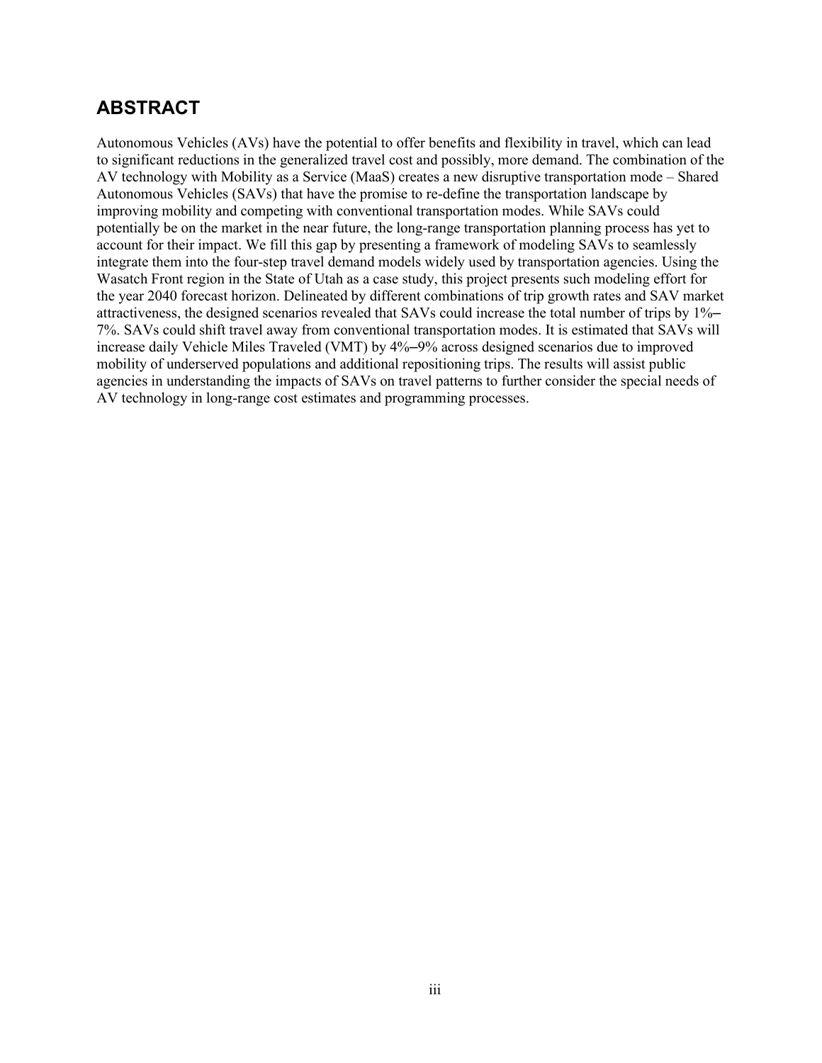## **ABSTRACT**

Autonomous Vehicles (AVs) have the potential to offer benefits and flexibility in travel, which can lead to significant reductions in the generalized travel cost and possibly, more demand. The combination of the AV technology with Mobility as a Service (MaaS) creates a new disruptive transportation mode – Shared Autonomous Vehicles (SAVs) that have the promise to re-define the transportation landscape by improving mobility and competing with conventional transportation modes. While SAVs could potentially be on the market in the near future, the long-range transportation planning process has yet to account for their impact. We fill this gap by presenting a framework of modeling SAVs to seamlessly integrate them into the four-step travel demand models widely used by transportation agencies. Using the Wasatch Front region in the State of Utah as a case study, this project presents such modeling effort for the year 2040 forecast horizon. Delineated by different combinations of trip growth rates and SAV market attractiveness, the designed scenarios revealed that SAVs could increase the total number of trips by 1%– 7%. SAVs could shift travel away from conventional transportation modes. It is estimated that SAVs will increase daily Vehicle Miles Traveled (VMT) by 4%–9% across designed scenarios due to improved mobility of underserved populations and additional repositioning trips. The results will assist public agencies in understanding the impacts of SAVs on travel patterns to further consider the special needs of AV technology in long-range cost estimates and programming processes.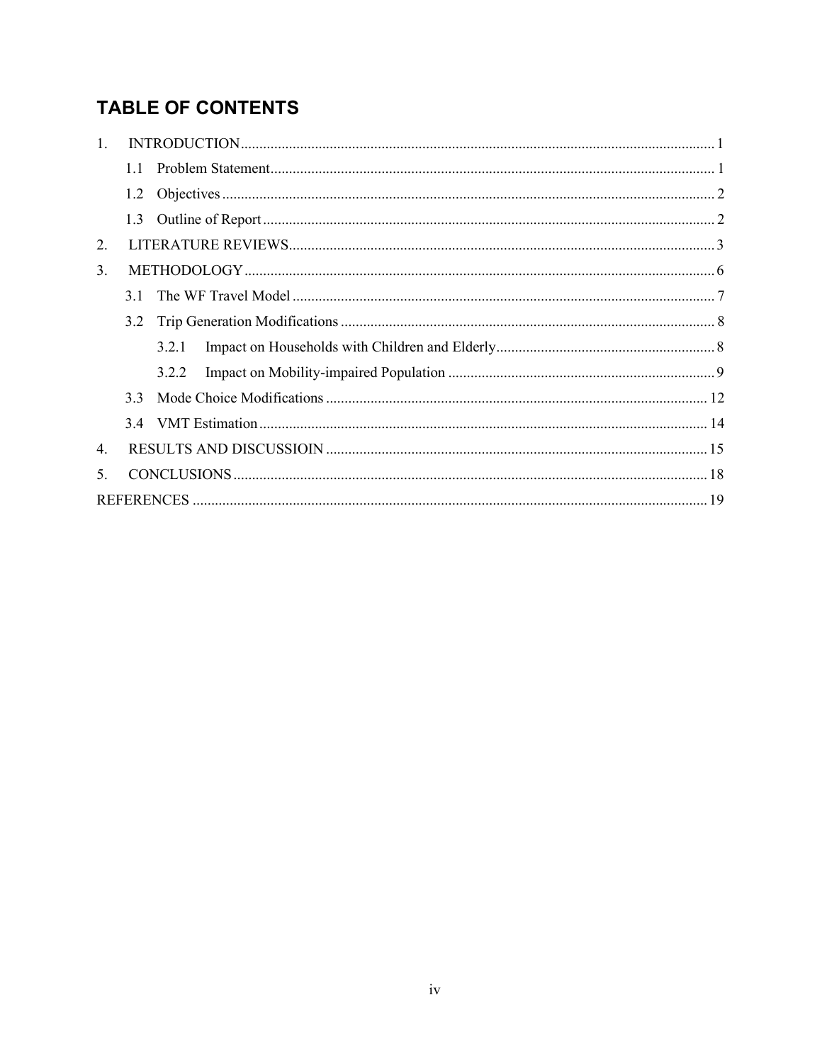# **TABLE OF CONTENTS**

| 1.  |               |       |  |
|-----|---------------|-------|--|
|     | 1.1           |       |  |
|     | 1.2           |       |  |
|     | 1.3           |       |  |
| 2.  |               |       |  |
| 3.  |               |       |  |
|     | 3.1           |       |  |
|     | $3.2^{\circ}$ |       |  |
|     |               | 3.2.1 |  |
|     |               | 3.2.2 |  |
|     | 3.3           |       |  |
|     |               |       |  |
| 4.  |               |       |  |
| .5. |               |       |  |
|     |               |       |  |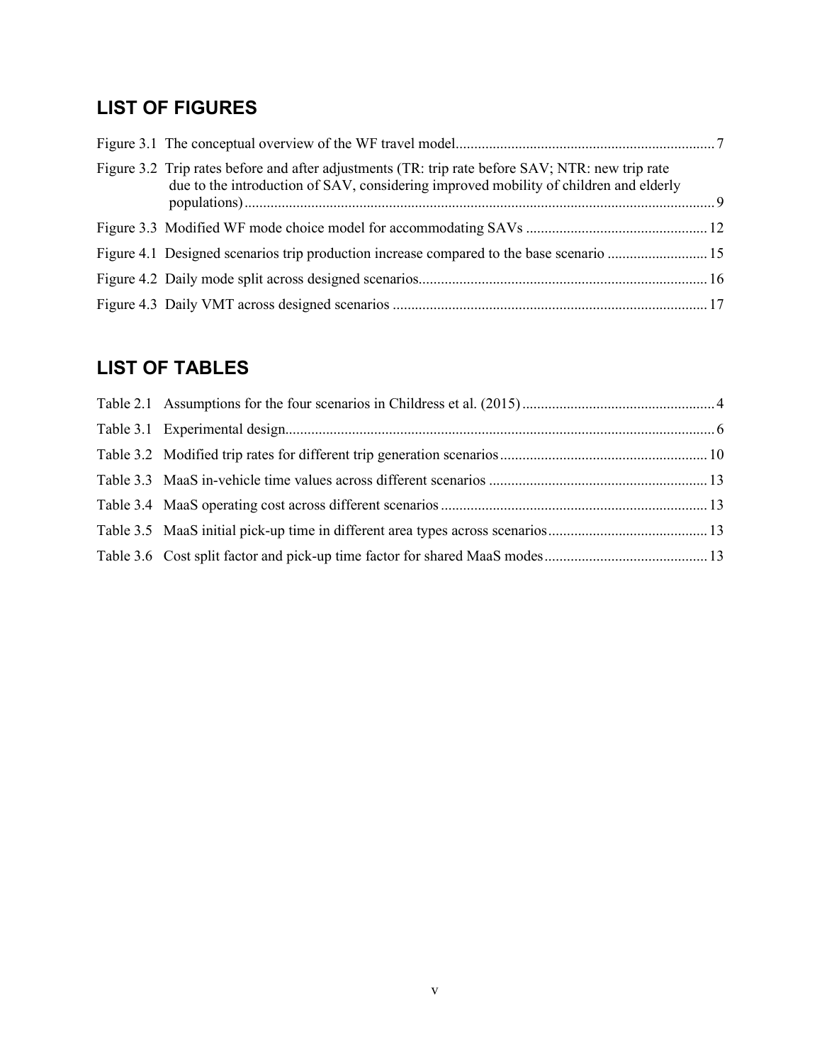## **LIST OF FIGURES**

| Figure 3.2 Trip rates before and after adjustments (TR: trip rate before SAV; NTR: new trip rate<br>due to the introduction of SAV, considering improved mobility of children and elderly |  |
|-------------------------------------------------------------------------------------------------------------------------------------------------------------------------------------------|--|
|                                                                                                                                                                                           |  |
| Figure 4.1 Designed scenarios trip production increase compared to the base scenario  15                                                                                                  |  |
|                                                                                                                                                                                           |  |
|                                                                                                                                                                                           |  |

# **LIST OF TABLES**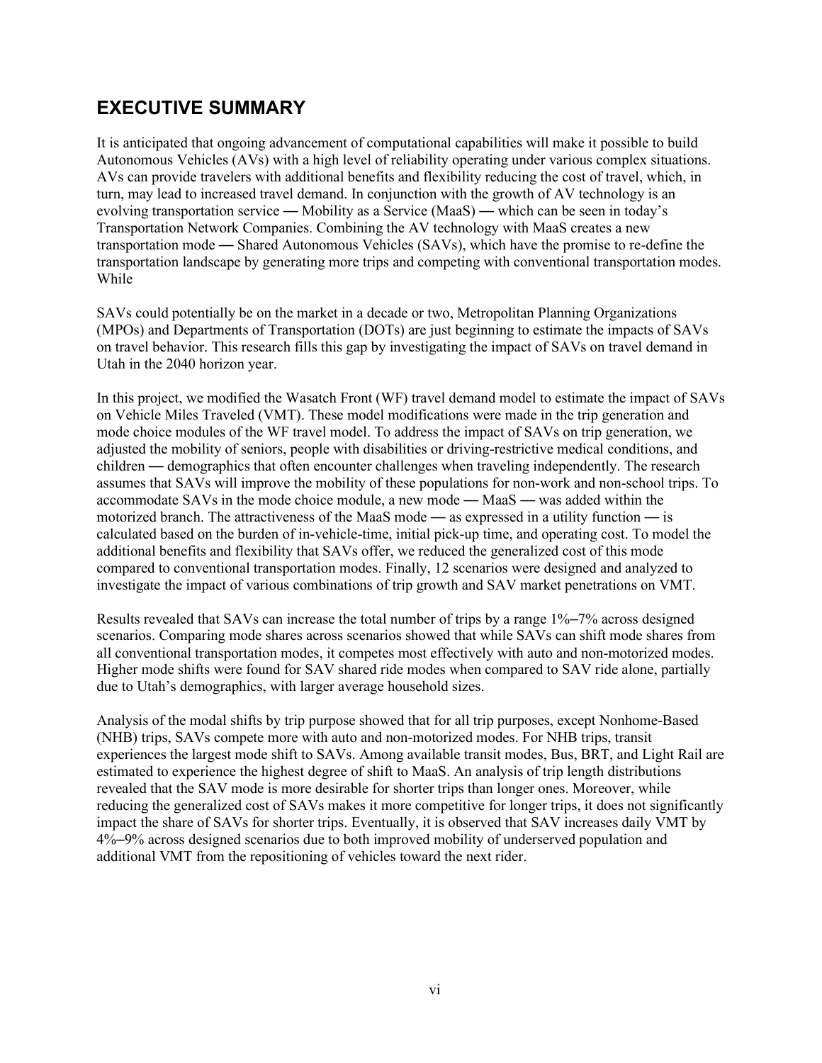## **EXECUTIVE SUMMARY**

It is anticipated that ongoing advancement of computational capabilities will make it possible to build Autonomous Vehicles (AVs) with a high level of reliability operating under various complex situations. AVs can provide travelers with additional benefits and flexibility reducing the cost of travel, which, in turn, may lead to increased travel demand. In conjunction with the growth of AV technology is an evolving transportation service — Mobility as a Service (MaaS) — which can be seen in today's Transportation Network Companies. Combining the AV technology with MaaS creates a new transportation mode — Shared Autonomous Vehicles (SAVs), which have the promise to re-define the transportation landscape by generating more trips and competing with conventional transportation modes. While

SAVs could potentially be on the market in a decade or two, Metropolitan Planning Organizations (MPOs) and Departments of Transportation (DOTs) are just beginning to estimate the impacts of SAVs on travel behavior. This research fills this gap by investigating the impact of SAVs on travel demand in Utah in the 2040 horizon year.

In this project, we modified the Wasatch Front (WF) travel demand model to estimate the impact of SAVs on Vehicle Miles Traveled (VMT). These model modifications were made in the trip generation and mode choice modules of the WF travel model. To address the impact of SAVs on trip generation, we adjusted the mobility of seniors, people with disabilities or driving-restrictive medical conditions, and children — demographics that often encounter challenges when traveling independently. The research assumes that SAVs will improve the mobility of these populations for non-work and non-school trips. To accommodate SAVs in the mode choice module, a new mode — MaaS — was added within the motorized branch. The attractiveness of the MaaS mode — as expressed in a utility function — is calculated based on the burden of in-vehicle-time, initial pick-up time, and operating cost. To model the additional benefits and flexibility that SAVs offer, we reduced the generalized cost of this mode compared to conventional transportation modes. Finally, 12 scenarios were designed and analyzed to investigate the impact of various combinations of trip growth and SAV market penetrations on VMT.

Results revealed that SAVs can increase the total number of trips by a range 1%–7% across designed scenarios. Comparing mode shares across scenarios showed that while SAVs can shift mode shares from all conventional transportation modes, it competes most effectively with auto and non-motorized modes. Higher mode shifts were found for SAV shared ride modes when compared to SAV ride alone, partially due to Utah's demographics, with larger average household sizes.

Analysis of the modal shifts by trip purpose showed that for all trip purposes, except Nonhome-Based (NHB) trips, SAVs compete more with auto and non-motorized modes. For NHB trips, transit experiences the largest mode shift to SAVs. Among available transit modes, Bus, BRT, and Light Rail are estimated to experience the highest degree of shift to MaaS. An analysis of trip length distributions revealed that the SAV mode is more desirable for shorter trips than longer ones. Moreover, while reducing the generalized cost of SAVs makes it more competitive for longer trips, it does not significantly impact the share of SAVs for shorter trips. Eventually, it is observed that SAV increases daily VMT by 4%–9% across designed scenarios due to both improved mobility of underserved population and additional VMT from the repositioning of vehicles toward the next rider.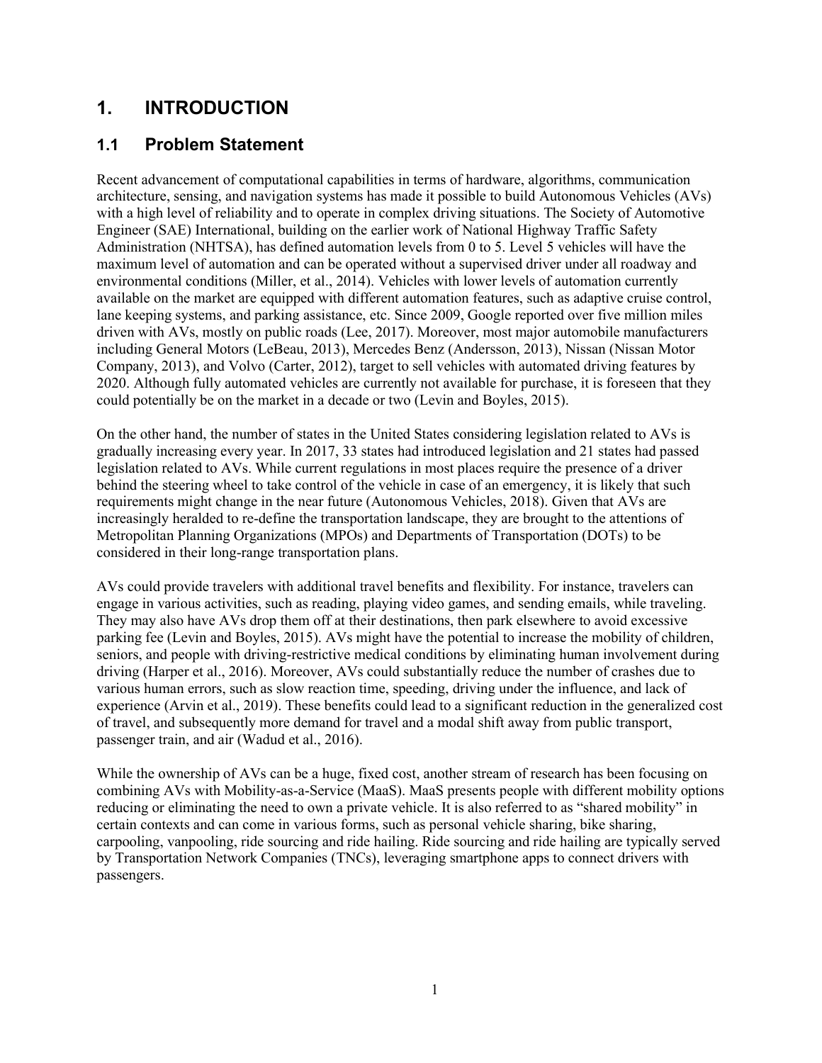## <span id="page-8-0"></span>**1. INTRODUCTION**

#### <span id="page-8-1"></span>**1.1 Problem Statement**

Recent advancement of computational capabilities in terms of hardware, algorithms, communication architecture, sensing, and navigation systems has made it possible to build Autonomous Vehicles (AVs) with a high level of reliability and to operate in complex driving situations. The Society of Automotive Engineer (SAE) International, building on the earlier work of National Highway Traffic Safety Administration (NHTSA), has defined automation levels from 0 to 5. Level 5 vehicles will have the maximum level of automation and can be operated without a supervised driver under all roadway and environmental conditions (Miller, et al., 2014). Vehicles with lower levels of automation currently available on the market are equipped with different automation features, such as adaptive cruise control, lane keeping systems, and parking assistance, etc. Since 2009, Google reported over five million miles driven with AVs, mostly on public roads (Lee, 2017). Moreover, most major automobile manufacturers including General Motors (LeBeau, 2013), Mercedes Benz (Andersson, 2013), Nissan (Nissan Motor Company, 2013), and Volvo (Carter, 2012), target to sell vehicles with automated driving features by 2020. Although fully automated vehicles are currently not available for purchase, it is foreseen that they could potentially be on the market in a decade or two (Levin and Boyles, 2015).

On the other hand, the number of states in the United States considering legislation related to AVs is gradually increasing every year. In 2017, 33 states had introduced legislation and 21 states had passed legislation related to AVs. While current regulations in most places require the presence of a driver behind the steering wheel to take control of the vehicle in case of an emergency, it is likely that such requirements might change in the near future (Autonomous Vehicles, 2018). Given that AVs are increasingly heralded to re-define the transportation landscape, they are brought to the attentions of Metropolitan Planning Organizations (MPOs) and Departments of Transportation (DOTs) to be considered in their long-range transportation plans.

AVs could provide travelers with additional travel benefits and flexibility. For instance, travelers can engage in various activities, such as reading, playing video games, and sending emails, while traveling. They may also have AVs drop them off at their destinations, then park elsewhere to avoid excessive parking fee (Levin and Boyles, 2015). AVs might have the potential to increase the mobility of children, seniors, and people with driving-restrictive medical conditions by eliminating human involvement during driving (Harper et al., 2016). Moreover, AVs could substantially reduce the number of crashes due to various human errors, such as slow reaction time, speeding, driving under the influence, and lack of experience (Arvin et al., 2019). These benefits could lead to a significant reduction in the generalized cost of travel, and subsequently more demand for travel and a modal shift away from public transport, passenger train, and air (Wadud et al., 2016).

While the ownership of AVs can be a huge, fixed cost, another stream of research has been focusing on combining AVs with Mobility-as-a-Service (MaaS). MaaS presents people with different mobility options reducing or eliminating the need to own a private vehicle. It is also referred to as "shared mobility" in certain contexts and can come in various forms, such as personal vehicle sharing, bike sharing, carpooling, vanpooling, ride sourcing and ride hailing. Ride sourcing and ride hailing are typically served by Transportation Network Companies (TNCs), leveraging smartphone apps to connect drivers with passengers.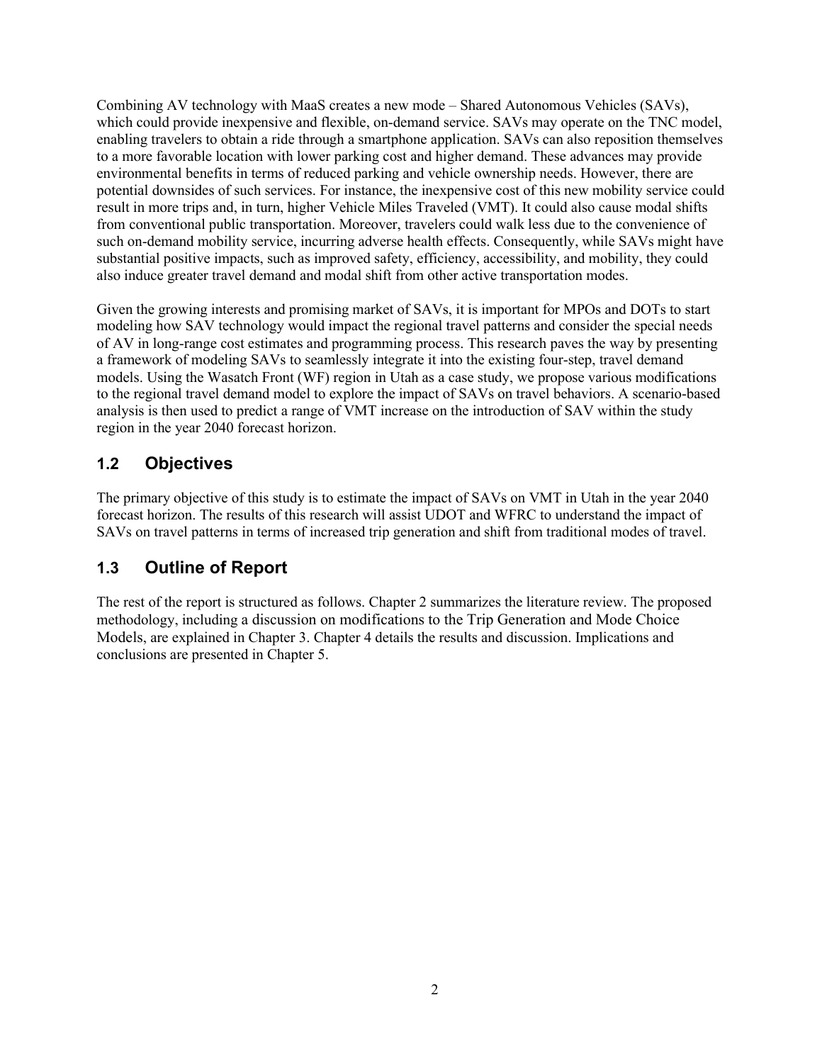Combining AV technology with MaaS creates a new mode – Shared Autonomous Vehicles (SAVs), which could provide inexpensive and flexible, on-demand service. SAVs may operate on the TNC model, enabling travelers to obtain a ride through a smartphone application. SAVs can also reposition themselves to a more favorable location with lower parking cost and higher demand. These advances may provide environmental benefits in terms of reduced parking and vehicle ownership needs. However, there are potential downsides of such services. For instance, the inexpensive cost of this new mobility service could result in more trips and, in turn, higher Vehicle Miles Traveled (VMT). It could also cause modal shifts from conventional public transportation. Moreover, travelers could walk less due to the convenience of such on-demand mobility service, incurring adverse health effects. Consequently, while SAVs might have substantial positive impacts, such as improved safety, efficiency, accessibility, and mobility, they could also induce greater travel demand and modal shift from other active transportation modes.

Given the growing interests and promising market of SAVs, it is important for MPOs and DOTs to start modeling how SAV technology would impact the regional travel patterns and consider the special needs of AV in long-range cost estimates and programming process. This research paves the way by presenting a framework of modeling SAVs to seamlessly integrate it into the existing four-step, travel demand models. Using the Wasatch Front (WF) region in Utah as a case study, we propose various modifications to the regional travel demand model to explore the impact of SAVs on travel behaviors. A scenario-based analysis is then used to predict a range of VMT increase on the introduction of SAV within the study region in the year 2040 forecast horizon.

#### <span id="page-9-0"></span>**1.2 Objectives**

The primary objective of this study is to estimate the impact of SAVs on VMT in Utah in the year 2040 forecast horizon. The results of this research will assist UDOT and WFRC to understand the impact of SAVs on travel patterns in terms of increased trip generation and shift from traditional modes of travel.

## <span id="page-9-1"></span>**1.3 Outline of Report**

The rest of the report is structured as follows. Chapter 2 summarizes the literature review. The proposed methodology, including a discussion on modifications to the Trip Generation and Mode Choice Models, are explained in Chapter 3. Chapter 4 details the results and discussion. Implications and conclusions are presented in Chapter 5.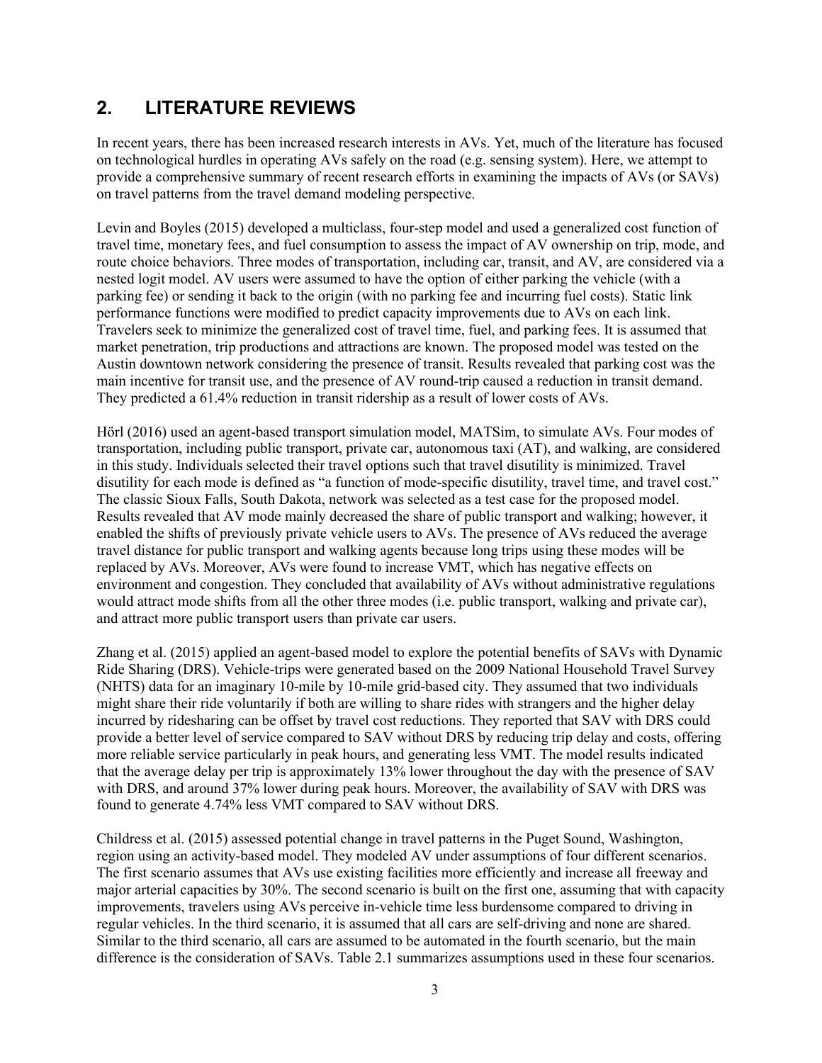## <span id="page-10-0"></span>**2. LITERATURE REVIEWS**

In recent years, there has been increased research interests in AVs. Yet, much of the literature has focused on technological hurdles in operating AVs safely on the road (e.g. sensing system). Here, we attempt to provide a comprehensive summary of recent research efforts in examining the impacts of AVs (or SAVs) on travel patterns from the travel demand modeling perspective.

Levin and Boyles (2015) developed a multiclass, four-step model and used a generalized cost function of travel time, monetary fees, and fuel consumption to assess the impact of AV ownership on trip, mode, and route choice behaviors. Three modes of transportation, including car, transit, and AV, are considered via a nested logit model. AV users were assumed to have the option of either parking the vehicle (with a parking fee) or sending it back to the origin (with no parking fee and incurring fuel costs). Static link performance functions were modified to predict capacity improvements due to AVs on each link. Travelers seek to minimize the generalized cost of travel time, fuel, and parking fees. It is assumed that market penetration, trip productions and attractions are known. The proposed model was tested on the Austin downtown network considering the presence of transit. Results revealed that parking cost was the main incentive for transit use, and the presence of AV round-trip caused a reduction in transit demand. They predicted a 61.4% reduction in transit ridership as a result of lower costs of AVs.

Hörl (2016) used an agent-based transport simulation model, MATSim, to simulate AVs. Four modes of transportation, including public transport, private car, autonomous taxi (AT), and walking, are considered in this study. Individuals selected their travel options such that travel disutility is minimized. Travel disutility for each mode is defined as "a function of mode-specific disutility, travel time, and travel cost." The classic Sioux Falls, South Dakota, network was selected as a test case for the proposed model. Results revealed that AV mode mainly decreased the share of public transport and walking; however, it enabled the shifts of previously private vehicle users to AVs. The presence of AVs reduced the average travel distance for public transport and walking agents because long trips using these modes will be replaced by AVs. Moreover, AVs were found to increase VMT, which has negative effects on environment and congestion. They concluded that availability of AVs without administrative regulations would attract mode shifts from all the other three modes (i.e. public transport, walking and private car), and attract more public transport users than private car users.

Zhang et al. (2015) applied an agent-based model to explore the potential benefits of SAVs with Dynamic Ride Sharing (DRS). Vehicle-trips were generated based on the 2009 National Household Travel Survey (NHTS) data for an imaginary 10-mile by 10-mile grid-based city. They assumed that two individuals might share their ride voluntarily if both are willing to share rides with strangers and the higher delay incurred by ridesharing can be offset by travel cost reductions. They reported that SAV with DRS could provide a better level of service compared to SAV without DRS by reducing trip delay and costs, offering more reliable service particularly in peak hours, and generating less VMT. The model results indicated that the average delay per trip is approximately 13% lower throughout the day with the presence of SAV with DRS, and around 37% lower during peak hours. Moreover, the availability of SAV with DRS was found to generate 4.74% less VMT compared to SAV without DRS.

Childress et al. (2015) assessed potential change in travel patterns in the Puget Sound, Washington, region using an activity-based model. They modeled AV under assumptions of four different scenarios. The first scenario assumes that AVs use existing facilities more efficiently and increase all freeway and major arterial capacities by 30%. The second scenario is built on the first one, assuming that with capacity improvements, travelers using AVs perceive in-vehicle time less burdensome compared to driving in regular vehicles. In the third scenario, it is assumed that all cars are self-driving and none are shared. Similar to the third scenario, all cars are assumed to be automated in the fourth scenario, but the main difference is the consideration of SAVs. [Table 2.1](#page-11-0) summarizes assumptions used in these four scenarios.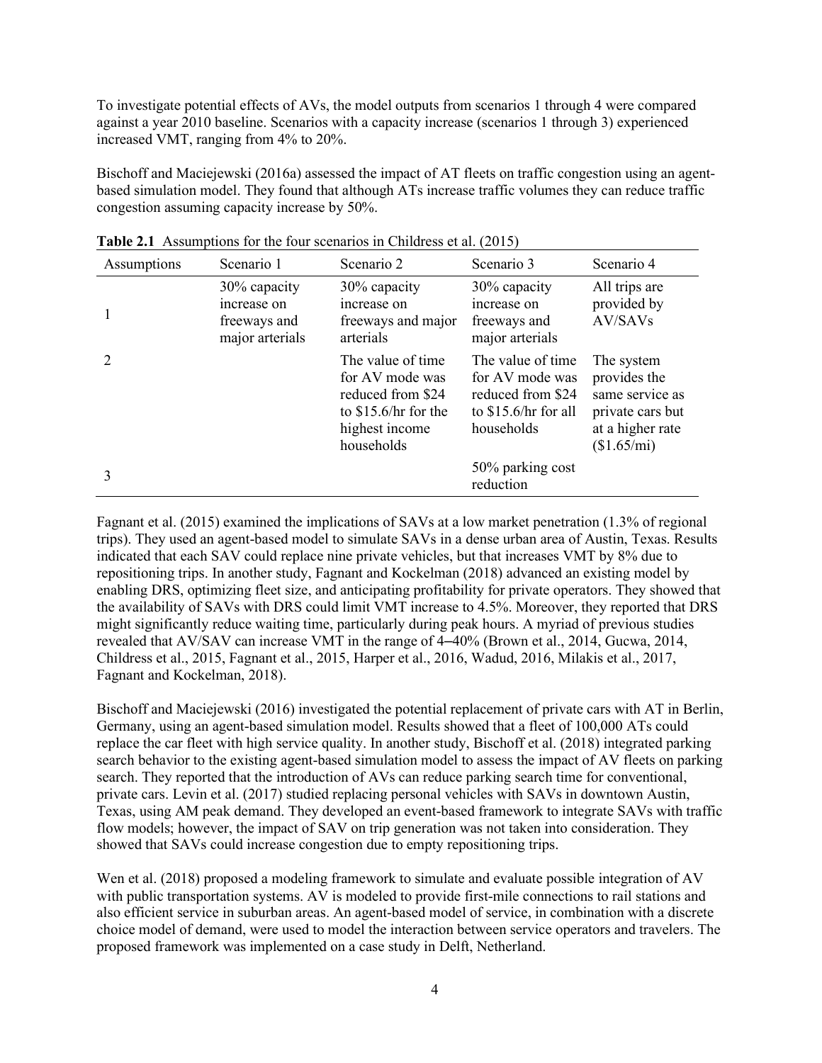To investigate potential effects of AVs, the model outputs from scenarios 1 through 4 were compared against a year 2010 baseline. Scenarios with a capacity increase (scenarios 1 through 3) experienced increased VMT, ranging from 4% to 20%.

Bischoff and Maciejewski (2016a) assessed the impact of AT fleets on traffic congestion using an agentbased simulation model. They found that although ATs increase traffic volumes they can reduce traffic congestion assuming capacity increase by 50%.

| Assumptions | Scenario 1                                                     | Scenario 2                                                                                                         | Scenario 3                                                                                       | Scenario 4                                                                                           |
|-------------|----------------------------------------------------------------|--------------------------------------------------------------------------------------------------------------------|--------------------------------------------------------------------------------------------------|------------------------------------------------------------------------------------------------------|
|             | 30% capacity<br>increase on<br>freeways and<br>major arterials | 30% capacity<br>increase on<br>freeways and major<br>arterials                                                     | 30% capacity<br>increase on<br>freeways and<br>major arterials                                   | All trips are<br>provided by<br>AV/SAVs                                                              |
|             |                                                                | The value of time<br>for AV mode was<br>reduced from \$24<br>to $$15.6/hr$ for the<br>highest income<br>households | The value of time<br>for AV mode was<br>reduced from \$24<br>to $$15.6/hr$ for all<br>households | The system<br>provides the<br>same service as<br>private cars but<br>at a higher rate<br>(\$1.65/mi) |
|             |                                                                |                                                                                                                    | 50% parking cost<br>reduction                                                                    |                                                                                                      |

<span id="page-11-0"></span>**Table 2.1** Assumptions for the four scenarios in Childress et al. (2015)

Fagnant et al. (2015) examined the implications of SAVs at a low market penetration (1.3% of regional trips). They used an agent-based model to simulate SAVs in a dense urban area of Austin, Texas. Results indicated that each SAV could replace nine private vehicles, but that increases VMT by 8% due to repositioning trips. In another study, Fagnant and Kockelman (2018) advanced an existing model by enabling DRS, optimizing fleet size, and anticipating profitability for private operators. They showed that the availability of SAVs with DRS could limit VMT increase to 4.5%. Moreover, they reported that DRS might significantly reduce waiting time, particularly during peak hours. A myriad of previous studies revealed that AV/SAV can increase VMT in the range of 4–40% (Brown et al., 2014, Gucwa, 2014, Childress et al., 2015, Fagnant et al., 2015, Harper et al., 2016, Wadud, 2016, Milakis et al., 2017, Fagnant and Kockelman, 2018).

Bischoff and Maciejewski (2016) investigated the potential replacement of private cars with AT in Berlin, Germany, using an agent-based simulation model. Results showed that a fleet of 100,000 ATs could replace the car fleet with high service quality. In another study, Bischoff et al. (2018) integrated parking search behavior to the existing agent-based simulation model to assess the impact of AV fleets on parking search. They reported that the introduction of AVs can reduce parking search time for conventional, private cars. Levin et al. (2017) studied replacing personal vehicles with SAVs in downtown Austin, Texas, using AM peak demand. They developed an event-based framework to integrate SAVs with traffic flow models; however, the impact of SAV on trip generation was not taken into consideration. They showed that SAVs could increase congestion due to empty repositioning trips.

Wen et al. (2018) proposed a modeling framework to simulate and evaluate possible integration of AV with public transportation systems. AV is modeled to provide first-mile connections to rail stations and also efficient service in suburban areas. An agent-based model of service, in combination with a discrete choice model of demand, were used to model the interaction between service operators and travelers. The proposed framework was implemented on a case study in Delft, Netherland.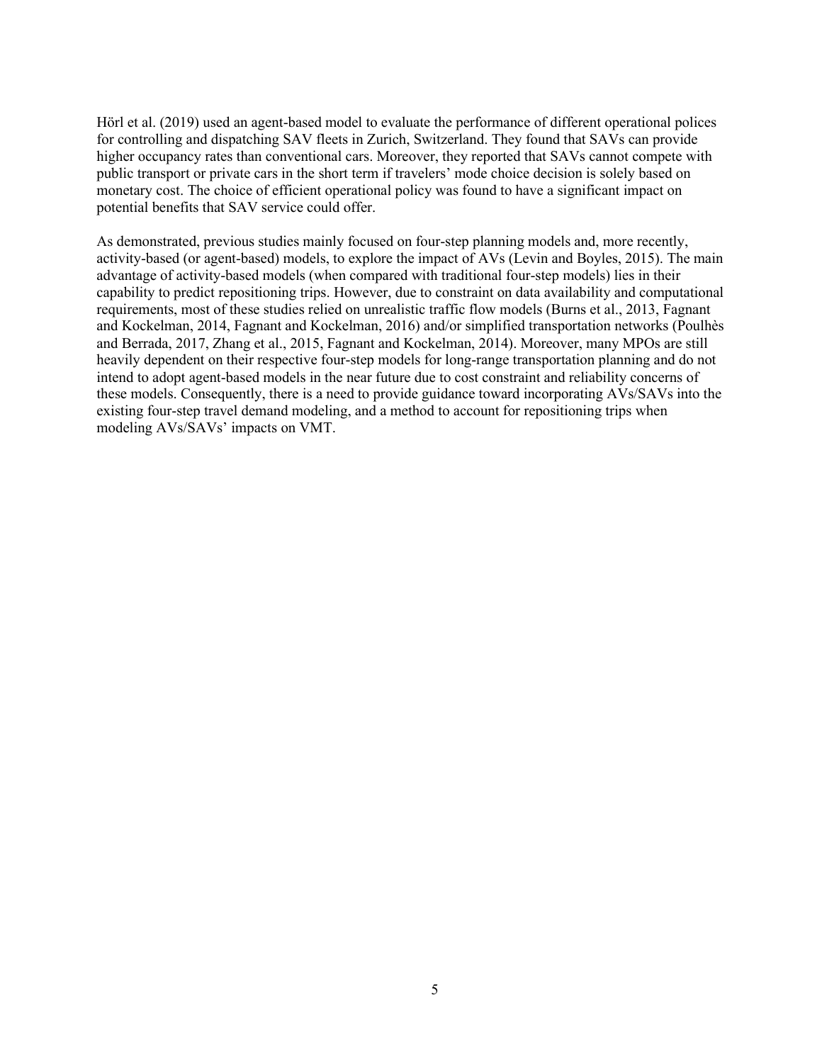Hörl et al. (2019) used an agent-based model to evaluate the performance of different operational polices for controlling and dispatching SAV fleets in Zurich, Switzerland. They found that SAVs can provide higher occupancy rates than conventional cars. Moreover, they reported that SAVs cannot compete with public transport or private cars in the short term if travelers' mode choice decision is solely based on monetary cost. The choice of efficient operational policy was found to have a significant impact on potential benefits that SAV service could offer.

As demonstrated, previous studies mainly focused on four-step planning models and, more recently, activity-based (or agent-based) models, to explore the impact of AVs (Levin and Boyles, 2015). The main advantage of activity-based models (when compared with traditional four-step models) lies in their capability to predict repositioning trips. However, due to constraint on data availability and computational requirements, most of these studies relied on unrealistic traffic flow models (Burns et al., 2013, Fagnant and Kockelman, 2014, Fagnant and Kockelman, 2016) and/or simplified transportation networks (Poulhès and Berrada, 2017, Zhang et al., 2015, Fagnant and Kockelman, 2014). Moreover, many MPOs are still heavily dependent on their respective four-step models for long-range transportation planning and do not intend to adopt agent-based models in the near future due to cost constraint and reliability concerns of these models. Consequently, there is a need to provide guidance toward incorporating AVs/SAVs into the existing four-step travel demand modeling, and a method to account for repositioning trips when modeling AVs/SAVs' impacts on VMT.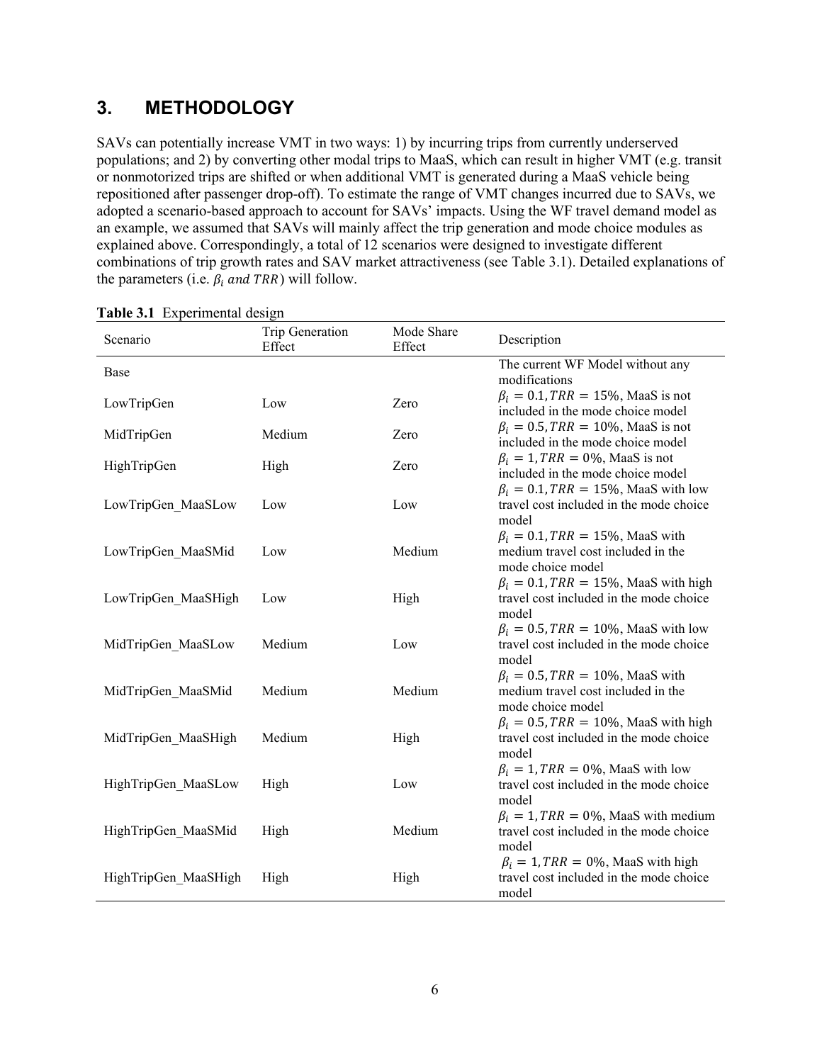## <span id="page-13-0"></span>**3. METHODOLOGY**

SAVs can potentially increase VMT in two ways: 1) by incurring trips from currently underserved populations; and 2) by converting other modal trips to MaaS, which can result in higher VMT (e.g. transit or nonmotorized trips are shifted or when additional VMT is generated during a MaaS vehicle being repositioned after passenger drop-off). To estimate the range of VMT changes incurred due to SAVs, we adopted a scenario-based approach to account for SAVs' impacts. Using the WF travel demand model as an example, we assumed that SAVs will mainly affect the trip generation and mode choice modules as explained above. Correspondingly, a total of 12 scenarios were designed to investigate different combinations of trip growth rates and SAV market attractiveness (see Table 3.1). Detailed explanations of the parameters (i.e.  $\beta_i$  and TRR) will follow.

| Scenario             | Trip Generation<br>Effect | Mode Share<br>Effect | Description                                                                                       |
|----------------------|---------------------------|----------------------|---------------------------------------------------------------------------------------------------|
| Base                 |                           |                      | The current WF Model without any<br>modifications                                                 |
| LowTripGen           | Low                       | Zero                 | $\beta_i = 0.1, TRR = 15\%, \text{MaaS is not}$<br>included in the mode choice model              |
| MidTripGen           | Medium                    | Zero                 | $\beta_i = 0.5$ , TRR = 10%, MaaS is not<br>included in the mode choice model                     |
| HighTripGen          | High                      | Zero                 | $\beta_i = 1$ , TRR = 0%, MaaS is not<br>included in the mode choice model                        |
| LowTripGen MaaSLow   | Low                       | Low                  | $\beta_i = 0.1$ , TRR = 15%, MaaS with low<br>travel cost included in the mode choice<br>model    |
| LowTripGen MaaSMid   | Low                       | Medium               | $\beta_i = 0.1$ , TRR = 15%, MaaS with<br>medium travel cost included in the<br>mode choice model |
| LowTripGen_MaaSHigh  | Low                       | High                 | $\beta_i = 0.1$ , TRR = 15%, MaaS with high<br>travel cost included in the mode choice<br>model   |
| MidTripGen_MaaSLow   | Medium                    | Low                  | $\beta_i = 0.5$ , TRR = 10%, MaaS with low<br>travel cost included in the mode choice<br>model    |
| MidTripGen MaaSMid   | Medium                    | Medium               | $\beta_i = 0.5$ , TRR = 10%, MaaS with<br>medium travel cost included in the<br>mode choice model |
| MidTripGen MaaSHigh  | Medium                    | High                 | $\beta_i = 0.5$ , TRR = 10%, MaaS with high<br>travel cost included in the mode choice<br>model   |
| HighTripGen MaaSLow  | High                      | Low                  | $\beta_i = 1, TRR = 0\%$ , MaaS with low<br>travel cost included in the mode choice<br>model      |
| HighTripGen_MaaSMid  | High                      | Medium               | $\beta_i = 1$ , TRR = 0%, MaaS with medium<br>travel cost included in the mode choice<br>model    |
| HighTripGen MaaSHigh | High                      | High                 | $\beta_i = 1$ , TRR = 0%, MaaS with high<br>travel cost included in the mode choice<br>model      |

<span id="page-13-1"></span>

|  | Table 3.1 Experimental design |  |
|--|-------------------------------|--|
|--|-------------------------------|--|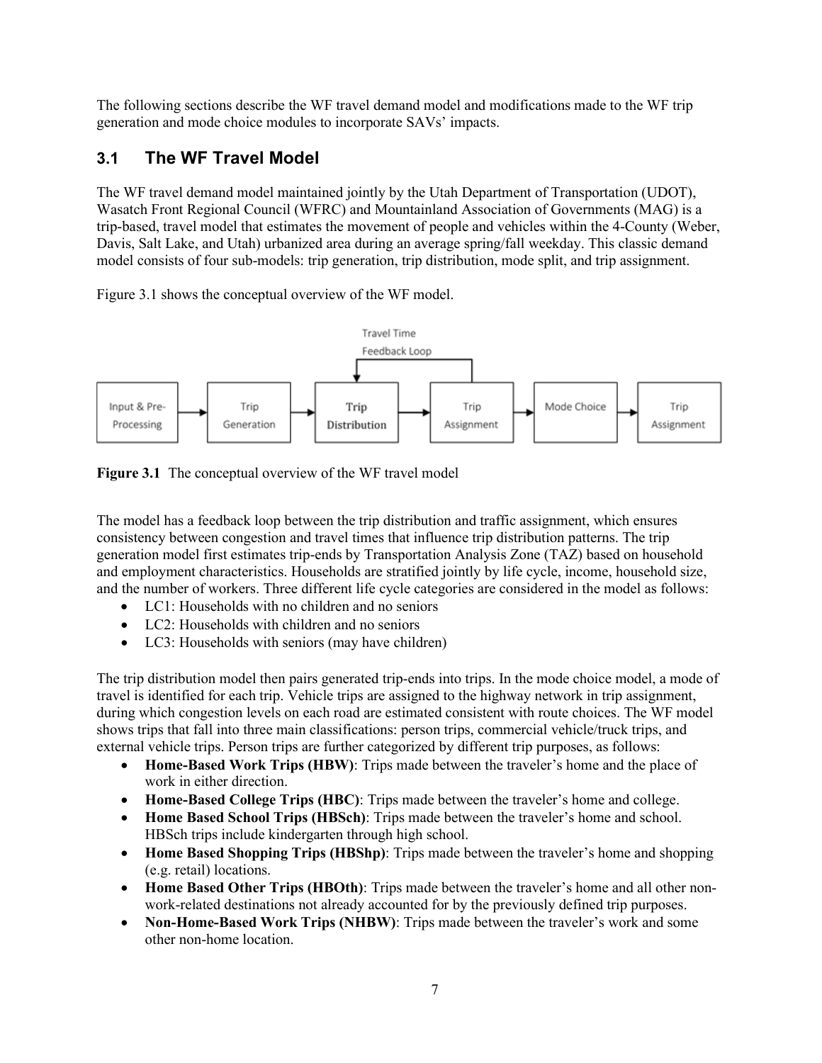The following sections describe the WF travel demand model and modifications made to the WF trip generation and mode choice modules to incorporate SAVs' impacts.

#### <span id="page-14-0"></span>**3.1 The WF Travel Model**

The WF travel demand model maintained jointly by the Utah Department of Transportation (UDOT), Wasatch Front Regional Council (WFRC) and Mountainland Association of Governments (MAG) is a trip-based, travel model that estimates the movement of people and vehicles within the 4-County (Weber, Davis, Salt Lake, and Utah) urbanized area during an average spring/fall weekday. This classic demand model consists of four sub-models: trip generation, trip distribution, mode split, and trip assignment.

Figure 3.1 shows the conceptual overview of the WF model.



<span id="page-14-1"></span>**Figure 3.1** The conceptual overview of the WF travel model

The model has a feedback loop between the trip distribution and traffic assignment, which ensures consistency between congestion and travel times that influence trip distribution patterns. The trip generation model first estimates trip-ends by Transportation Analysis Zone (TAZ) based on household and employment characteristics. Households are stratified jointly by life cycle, income, household size, and the number of workers. Three different life cycle categories are considered in the model as follows:

- LC1: Households with no children and no seniors
- LC2: Households with children and no seniors
- LC3: Households with seniors (may have children)

The trip distribution model then pairs generated trip-ends into trips. In the mode choice model, a mode of travel is identified for each trip. Vehicle trips are assigned to the highway network in trip assignment, during which congestion levels on each road are estimated consistent with route choices. The WF model shows trips that fall into three main classifications: person trips, commercial vehicle/truck trips, and external vehicle trips. Person trips are further categorized by different trip purposes, as follows:

- **Home-Based Work Trips (HBW)**: Trips made between the traveler's home and the place of work in either direction.
- **Home-Based College Trips (HBC)**: Trips made between the traveler's home and college.
- **Home Based School Trips (HBSch)**: Trips made between the traveler's home and school. HBSch trips include kindergarten through high school.
- **Home Based Shopping Trips (HBShp)**: Trips made between the traveler's home and shopping (e.g. retail) locations.
- **Home Based Other Trips (HBOth)**: Trips made between the traveler's home and all other nonwork-related destinations not already accounted for by the previously defined trip purposes.
- **Non-Home-Based Work Trips (NHBW)**: Trips made between the traveler's work and some other non-home location.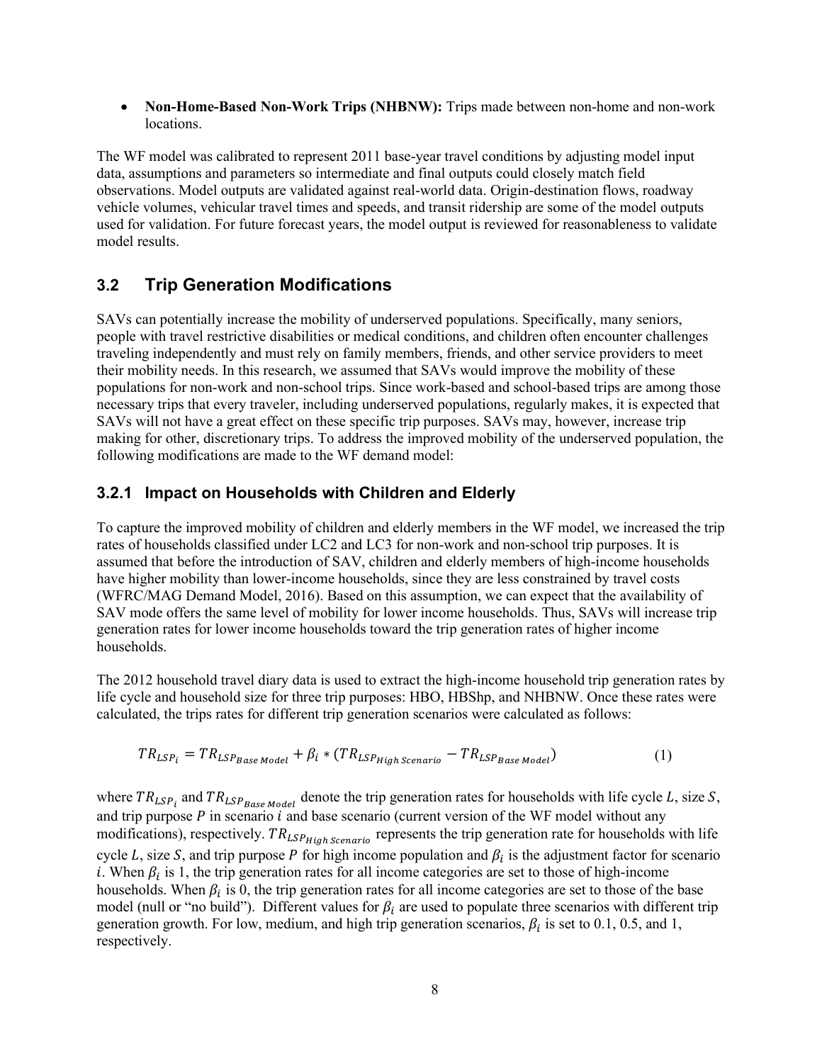• **Non-Home-Based Non-Work Trips (NHBNW):** Trips made between non-home and non-work locations.

The WF model was calibrated to represent 2011 base-year travel conditions by adjusting model input data, assumptions and parameters so intermediate and final outputs could closely match field observations. Model outputs are validated against real-world data. Origin-destination flows, roadway vehicle volumes, vehicular travel times and speeds, and transit ridership are some of the model outputs used for validation. For future forecast years, the model output is reviewed for reasonableness to validate model results.

#### <span id="page-15-0"></span>**3.2 Trip Generation Modifications**

SAVs can potentially increase the mobility of underserved populations. Specifically, many seniors, people with travel restrictive disabilities or medical conditions, and children often encounter challenges traveling independently and must rely on family members, friends, and other service providers to meet their mobility needs. In this research, we assumed that SAVs would improve the mobility of these populations for non-work and non-school trips. Since work-based and school-based trips are among those necessary trips that every traveler, including underserved populations, regularly makes, it is expected that SAVs will not have a great effect on these specific trip purposes. SAVs may, however, increase trip making for other, discretionary trips. To address the improved mobility of the underserved population, the following modifications are made to the WF demand model:

#### <span id="page-15-1"></span>**3.2.1 Impact on Households with Children and Elderly**

To capture the improved mobility of children and elderly members in the WF model, we increased the trip rates of households classified under LC2 and LC3 for non-work and non-school trip purposes. It is assumed that before the introduction of SAV, children and elderly members of high-income households have higher mobility than lower-income households, since they are less constrained by travel costs (WFRC/MAG Demand Model, 2016). Based on this assumption, we can expect that the availability of SAV mode offers the same level of mobility for lower income households. Thus, SAVs will increase trip generation rates for lower income households toward the trip generation rates of higher income households.

The 2012 household travel diary data is used to extract the high-income household trip generation rates by life cycle and household size for three trip purposes: HBO, HBShp, and NHBNW. Once these rates were calculated, the trips rates for different trip generation scenarios were calculated as follows:

$$
TR_{LSP_i} = TR_{LSP_{Base Model}} + \beta_i * (TR_{LSPHigh\,Scenario} - TR_{LSP_{Base Model}})
$$
 (1)

where  $TR_{LSP_1}$  and  $TR_{LSP_{Base Model}}$  denote the trip generation rates for households with life cycle L, size S, and trip purpose  $P$  in scenario  $i$  and base scenario (current version of the WF model without any modifications), respectively.  $TR_{LSP_{High\,Scenario}}$  represents the trip generation rate for households with life cycle L, size S, and trip purpose P for high income population and  $\beta_i$  is the adjustment factor for scenario i. When  $\beta_i$  is 1, the trip generation rates for all income categories are set to those of high-income households. When  $\beta_i$  is 0, the trip generation rates for all income categories are set to those of the base model (null or "no build"). Different values for  $\beta_i$  are used to populate three scenarios with different trip generation growth. For low, medium, and high trip generation scenarios,  $\beta_i$  is set to 0.1, 0.5, and 1, respectively.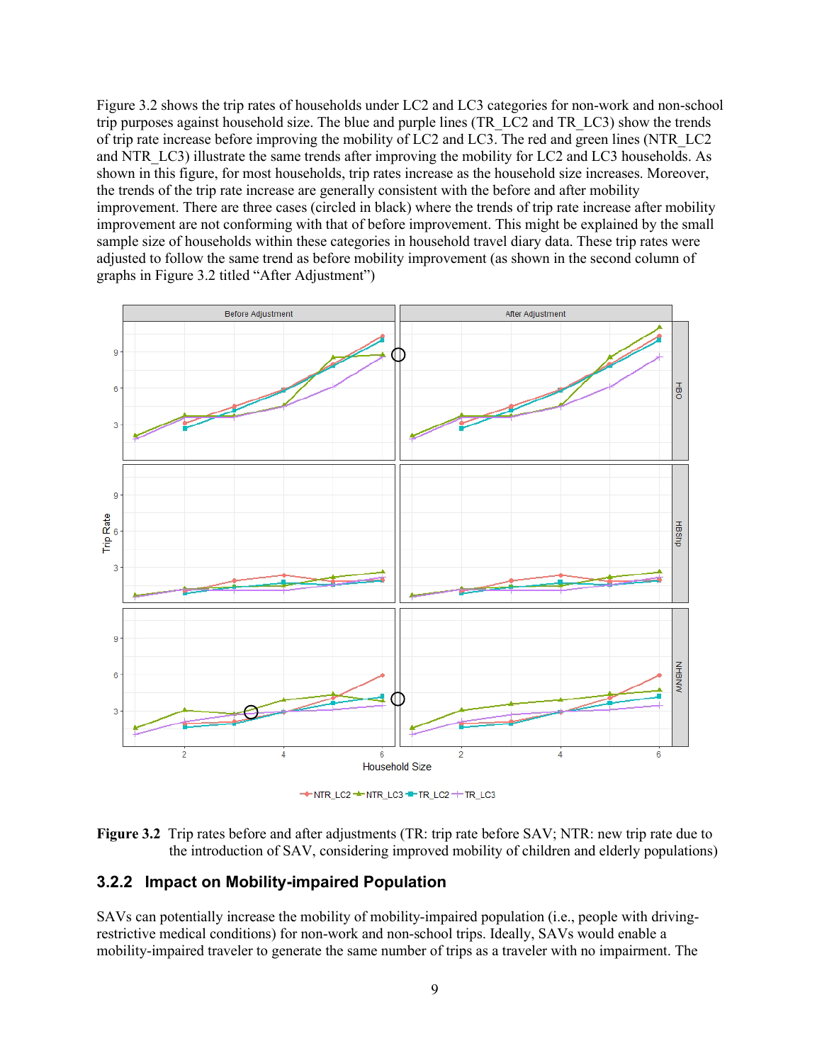Figure 3.2 shows the trip rates of households under LC2 and LC3 categories for non-work and non-school trip purposes against household size. The blue and purple lines (TR\_LC2 and TR\_LC3) show the trends of trip rate increase before improving the mobility of LC2 and LC3. The red and green lines (NTR\_LC2 and NTR\_LC3) illustrate the same trends after improving the mobility for LC2 and LC3 households. As shown in this figure, for most households, trip rates increase as the household size increases. Moreover, the trends of the trip rate increase are generally consistent with the before and after mobility improvement. There are three cases (circled in black) where the trends of trip rate increase after mobility improvement are not conforming with that of before improvement. This might be explained by the small sample size of households within these categories in household travel diary data. These trip rates were adjusted to follow the same trend as before mobility improvement (as shown in the second column of graphs in [Figure](#page-16-1) 3.2 titled "After Adjustment")



THE NTR\_LC2 THITR\_LC3 THITR\_LC2 THITR\_LC3

<span id="page-16-1"></span>

#### <span id="page-16-0"></span>**3.2.2 Impact on Mobility-impaired Population**

SAVs can potentially increase the mobility of mobility-impaired population (i.e., people with drivingrestrictive medical conditions) for non-work and non-school trips. Ideally, SAVs would enable a mobility-impaired traveler to generate the same number of trips as a traveler with no impairment. The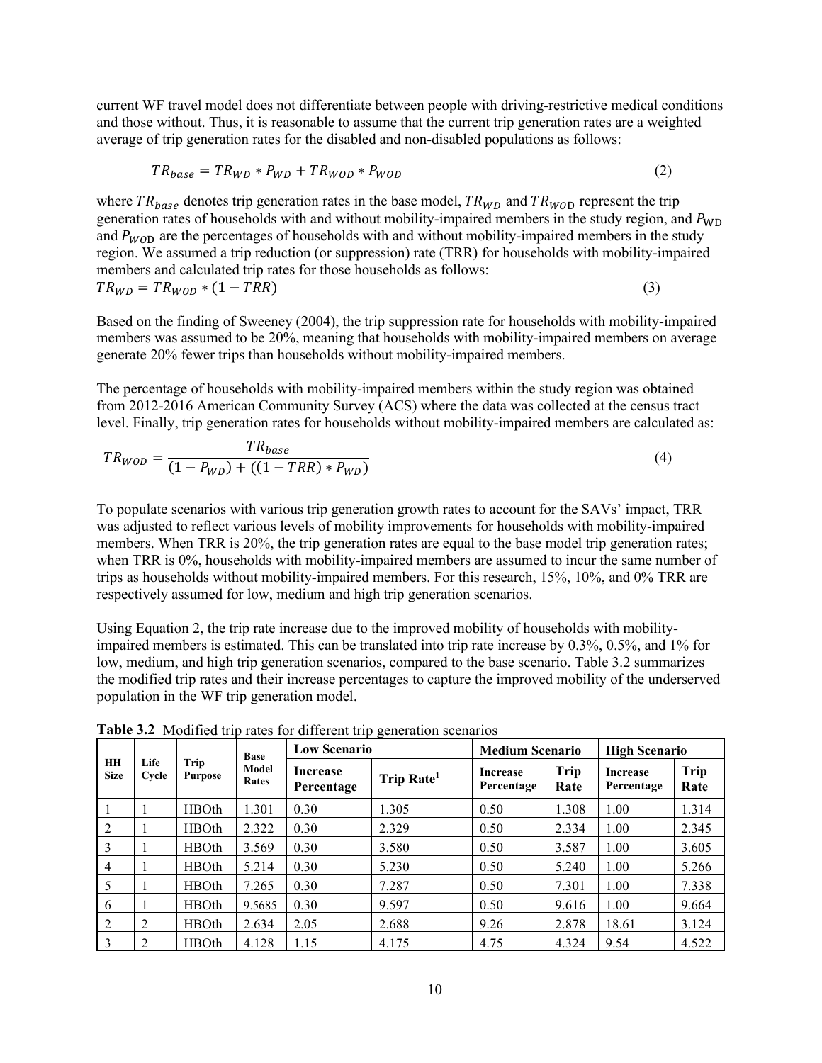current WF travel model does not differentiate between people with driving-restrictive medical conditions and those without. Thus, it is reasonable to assume that the current trip generation rates are a weighted average of trip generation rates for the disabled and non-disabled populations as follows:

$$
TR_{base} = TR_{WD} * P_{WD} + TR_{WOD} * P_{WOD}
$$
\n
$$
(2)
$$

where  $TR_{base}$  denotes trip generation rates in the base model,  $TR_{WD}$  and  $TR_{WOD}$  represent the trip generation rates of households with and without mobility-impaired members in the study region, and  $P_{WD}$ and  $P_{WOD}$  are the percentages of households with and without mobility-impaired members in the study region. We assumed a trip reduction (or suppression) rate (TRR) for households with mobility-impaired members and calculated trip rates for those households as follows:  $TR_{WD} = TR_{WOD} * (1 - TRR)$  (3)

Based on the finding of Sweeney (2004), the trip suppression rate for households with mobility-impaired members was assumed to be 20%, meaning that households with mobility-impaired members on average generate 20% fewer trips than households without mobility-impaired members.

The percentage of households with mobility-impaired members within the study region was obtained from 2012-2016 American Community Survey (ACS) where the data was collected at the census tract level. Finally, trip generation rates for households without mobility-impaired members are calculated as:

$$
TR_{WOD} = \frac{TR_{base}}{(1 - P_{WD}) + ((1 - TRR) * P_{WD})}
$$
\n(4)

To populate scenarios with various trip generation growth rates to account for the SAVs' impact, TRR was adjusted to reflect various levels of mobility improvements for households with mobility-impaired members. When TRR is 20%, the trip generation rates are equal to the base model trip generation rates; when TRR is 0%, households with mobility-impaired members are assumed to incur the same number of trips as households without mobility-impaired members. For this research, 15%, 10%, and 0% TRR are respectively assumed for low, medium and high trip generation scenarios.

Using Equation 2, the trip rate increase due to the improved mobility of households with mobilityimpaired members is estimated. This can be translated into trip rate increase by 0.3%, 0.5%, and 1% for low, medium, and high trip generation scenarios, compared to the base scenario. Table 3.2 summarizes the modified trip rates and their increase percentages to capture the improved mobility of the underserved population in the WF trip generation model.

|                   |               |                        | <b>Base</b>    | <b>Low Scenario</b>           |                        | <b>Medium Scenario</b>        |              | <b>High Scenario</b>          |              |
|-------------------|---------------|------------------------|----------------|-------------------------------|------------------------|-------------------------------|--------------|-------------------------------|--------------|
| HH<br><b>Size</b> | Life<br>Cycle | Trip<br><b>Purpose</b> | Model<br>Rates | <b>Increase</b><br>Percentage | Trip Rate <sup>1</sup> | <b>Increase</b><br>Percentage | Trip<br>Rate | <b>Increase</b><br>Percentage | Trip<br>Rate |
|                   |               | <b>HBOth</b>           | 1.301          | 0.30                          | 1.305                  | 0.50                          | 1.308        | 1.00                          | 1.314        |
| 2                 |               | <b>HBOth</b>           | 2.322          | 0.30                          | 2.329                  | 0.50                          | 2.334        | 1.00                          | 2.345        |
| 3                 |               | <b>HBOth</b>           | 3.569          | 0.30                          | 3.580                  | 0.50                          | 3.587        | 1.00                          | 3.605        |
| $\overline{4}$    |               | <b>HBOth</b>           | 5.214          | 0.30                          | 5.230                  | 0.50                          | 5.240        | 1.00                          | 5.266        |
| 5                 |               | <b>HBOth</b>           | 7.265          | 0.30                          | 7.287                  | 0.50                          | 7.301        | 1.00                          | 7.338        |
| 6                 |               | <b>HBOth</b>           | 9.5685         | 0.30                          | 9.597                  | 0.50                          | 9.616        | 1.00                          | 9.664        |
| 2                 | 2             | <b>HBOth</b>           | 2.634          | 2.05                          | 2.688                  | 9.26                          | 2.878        | 18.61                         | 3.124        |
| 3                 |               | <b>HBOth</b>           | 4.128          | 1.15                          | 4.175                  | 4.75                          | 4.324        | 9.54                          | 4.522        |

<span id="page-17-0"></span>**Table 3.2** Modified trip rates for different trip generation scenarios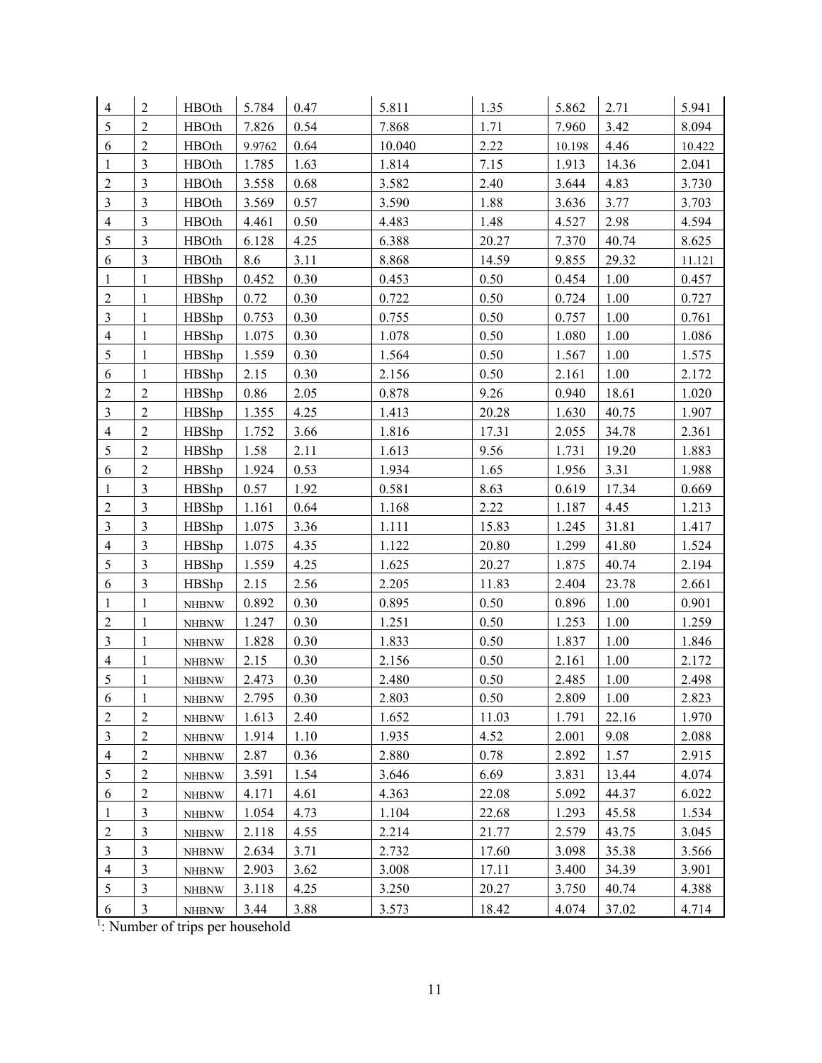| 4              | $\boldsymbol{2}$        | <b>HBOth</b> | 5.784    | 0.47 | 5.811  | 1.35  | 5.862  | 2.71     | 5.941  |
|----------------|-------------------------|--------------|----------|------|--------|-------|--------|----------|--------|
| 5              | $\overline{2}$          | <b>HBOth</b> | 7.826    | 0.54 | 7.868  | 1.71  | 7.960  | 3.42     | 8.094  |
| 6              | $\overline{2}$          | <b>HBOth</b> | 9.9762   | 0.64 | 10.040 | 2.22  | 10.198 | 4.46     | 10.422 |
| $\mathbf{1}$   | 3                       | <b>HBOth</b> | 1.785    | 1.63 | 1.814  | 7.15  | 1.913  | 14.36    | 2.041  |
| $\overline{c}$ | 3                       | <b>HBOth</b> | 3.558    | 0.68 | 3.582  | 2.40  | 3.644  | 4.83     | 3.730  |
| $\mathfrak{Z}$ | 3                       | <b>HBOth</b> | 3.569    | 0.57 | 3.590  | 1.88  | 3.636  | 3.77     | 3.703  |
| 4              | $\mathfrak{Z}$          | <b>HBOth</b> | 4.461    | 0.50 | 4.483  | 1.48  | 4.527  | 2.98     | 4.594  |
| 5              | $\overline{\mathbf{3}}$ | <b>HBOth</b> | 6.128    | 4.25 | 6.388  | 20.27 | 7.370  | 40.74    | 8.625  |
| 6              | 3                       | <b>HBOth</b> | 8.6      | 3.11 | 8.868  | 14.59 | 9.855  | 29.32    | 11.121 |
| $\mathbf{1}$   | 1                       | HBShp        | 0.452    | 0.30 | 0.453  | 0.50  | 0.454  | 1.00     | 0.457  |
| $\sqrt{2}$     | 1                       | HBShp        | 0.72     | 0.30 | 0.722  | 0.50  | 0.724  | 1.00     | 0.727  |
| $\mathfrak{Z}$ | 1                       | HBShp        | 0.753    | 0.30 | 0.755  | 0.50  | 0.757  | 1.00     | 0.761  |
| $\overline{4}$ | 1                       | HBShp        | 1.075    | 0.30 | 1.078  | 0.50  | 1.080  | 1.00     | 1.086  |
| 5              | 1                       | HBShp        | 1.559    | 0.30 | 1.564  | 0.50  | 1.567  | 1.00     | 1.575  |
| 6              | 1                       | HBShp        | 2.15     | 0.30 | 2.156  | 0.50  | 2.161  | 1.00     | 2.172  |
| $\overline{c}$ | $\overline{c}$          | HBShp        | $0.86\,$ | 2.05 | 0.878  | 9.26  | 0.940  | 18.61    | 1.020  |
| $\mathfrak{Z}$ | $\overline{2}$          | HBShp        | 1.355    | 4.25 | 1.413  | 20.28 | 1.630  | 40.75    | 1.907  |
| $\overline{4}$ | $\overline{2}$          | HBShp        | 1.752    | 3.66 | 1.816  | 17.31 | 2.055  | 34.78    | 2.361  |
| 5              | $\overline{2}$          | HBShp        | 1.58     | 2.11 | 1.613  | 9.56  | 1.731  | 19.20    | 1.883  |
| 6              | $\overline{2}$          | HBShp        | 1.924    | 0.53 | 1.934  | 1.65  | 1.956  | 3.31     | 1.988  |
| $\mathbf{1}$   | $\overline{3}$          | HBShp        | 0.57     | 1.92 | 0.581  | 8.63  | 0.619  | 17.34    | 0.669  |
| $\sqrt{2}$     | $\mathfrak{Z}$          | HBShp        | 1.161    | 0.64 | 1.168  | 2.22  | 1.187  | 4.45     | 1.213  |
| $\mathfrak{Z}$ | $\overline{\mathbf{3}}$ | HBShp        | 1.075    | 3.36 | 1.111  | 15.83 | 1.245  | 31.81    | 1.417  |
| $\overline{4}$ | 3                       | HBShp        | 1.075    | 4.35 | 1.122  | 20.80 | 1.299  | 41.80    | 1.524  |
| 5              | 3                       | HBShp        | 1.559    | 4.25 | 1.625  | 20.27 | 1.875  | 40.74    | 2.194  |
| 6              | $\overline{\mathbf{3}}$ | HBShp        | 2.15     | 2.56 | 2.205  | 11.83 | 2.404  | 23.78    | 2.661  |
| $\mathbf 1$    | $\mathbf{1}$            | <b>NHBNW</b> | 0.892    | 0.30 | 0.895  | 0.50  | 0.896  | $1.00\,$ | 0.901  |
| $\sqrt{2}$     | 1                       | <b>NHBNW</b> | 1.247    | 0.30 | 1.251  | 0.50  | 1.253  | 1.00     | 1.259  |
| 3              | 1                       | <b>NHBNW</b> | 1.828    | 0.30 | 1.833  | 0.50  | 1.837  | 1.00     | 1.846  |
| $\overline{4}$ | 1                       | <b>NHBNW</b> | 2.15     | 0.30 | 2.156  | 0.50  | 2.161  | 1.00     | 2.172  |
| $\sqrt{5}$     | 1                       | <b>NHBNW</b> | 2.473    | 0.30 | 2.480  | 0.50  | 2.485  | 1.00     | 2.498  |
| $\sqrt{6}$     | $\,1\,$                 | <b>NHBNW</b> | 2.795    | 0.30 | 2.803  | 0.50  | 2.809  | 1.00     | 2.823  |
| $\overline{2}$ | 2                       | <b>NHBNW</b> | 1.613    | 2.40 | 1.652  | 11.03 | 1.791  | 22.16    | 1.970  |
| $\mathfrak{Z}$ | $\overline{2}$          | <b>NHBNW</b> | 1.914    | 1.10 | 1.935  | 4.52  | 2.001  | 9.08     | 2.088  |
| $\overline{4}$ | $\sqrt{2}$              | <b>NHBNW</b> | 2.87     | 0.36 | 2.880  | 0.78  | 2.892  | 1.57     | 2.915  |
| 5              | $\overline{2}$          | <b>NHBNW</b> | 3.591    | 1.54 | 3.646  | 6.69  | 3.831  | 13.44    | 4.074  |
| 6              | $\sqrt{2}$              | <b>NHBNW</b> | 4.171    | 4.61 | 4.363  | 22.08 | 5.092  | 44.37    | 6.022  |
| $\mathbf{1}$   | $\mathfrak{Z}$          | <b>NHBNW</b> | 1.054    | 4.73 | 1.104  | 22.68 | 1.293  | 45.58    | 1.534  |
| $\overline{c}$ | 3                       | <b>NHBNW</b> | 2.118    | 4.55 | 2.214  | 21.77 | 2.579  | 43.75    | 3.045  |
| 3              | $\overline{\mathbf{3}}$ | <b>NHBNW</b> | 2.634    | 3.71 | 2.732  | 17.60 | 3.098  | 35.38    | 3.566  |
| $\overline{4}$ | $\mathfrak{Z}$          | <b>NHBNW</b> | 2.903    | 3.62 | 3.008  | 17.11 | 3.400  | 34.39    | 3.901  |
| $\mathfrak{S}$ | $\mathfrak{Z}$          | <b>NHBNW</b> | 3.118    | 4.25 | 3.250  | 20.27 | 3.750  | 40.74    | 4.388  |
| 6              | $\mathfrak{Z}$          | <b>NHBNW</b> | 3.44     | 3.88 | 3.573  | 18.42 | 4.074  | 37.02    | 4.714  |

<sup>1</sup>: Number of trips per household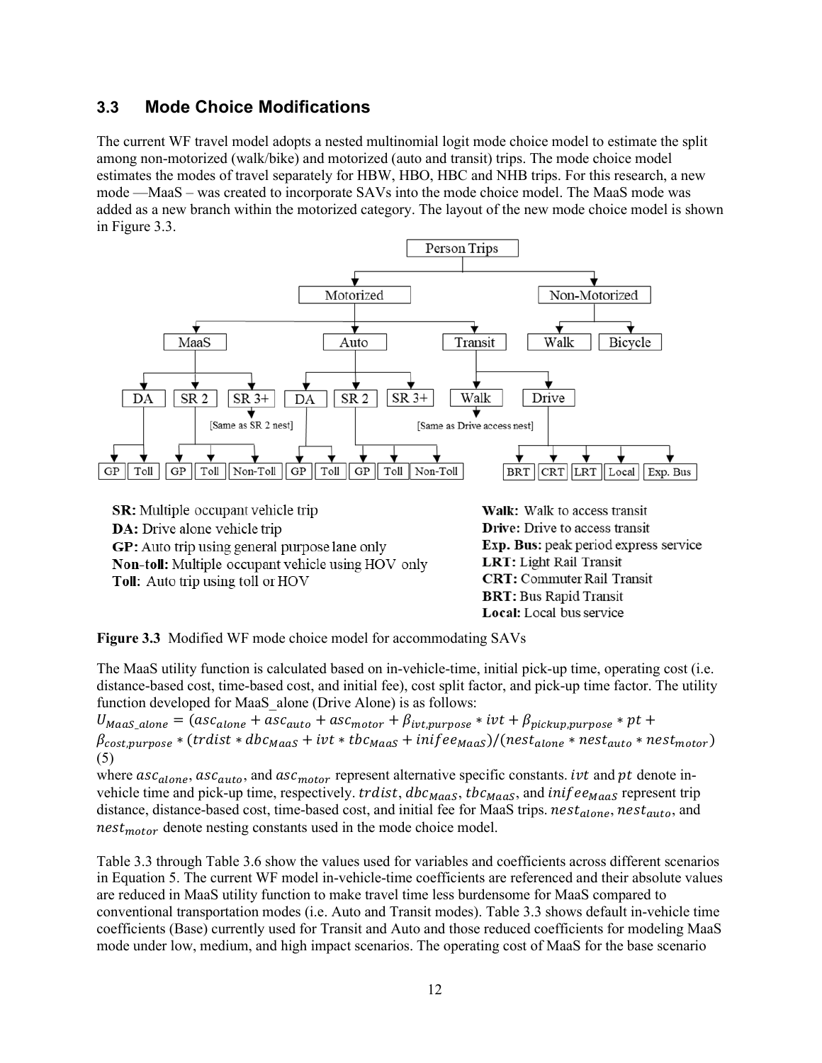#### <span id="page-19-0"></span>**3.3 Mode Choice Modifications**

The current WF travel model adopts a nested multinomial logit mode choice model to estimate the split among non-motorized (walk/bike) and motorized (auto and transit) trips. The mode choice model estimates the modes of travel separately for HBW, HBO, HBC and NHB trips. For this research, a new mode —MaaS – was created to incorporate SAVs into the mode choice model. The MaaS mode was added as a new branch within the motorized category. The layout of the new mode choice model is shown in Figure 3.3.



**Toll:** Auto trip using toll or HOV

LRT: Light Rail Transit **CRT:** Commuter Rail Transit **BRT: Bus Rapid Transit** Local: Local bus service

<span id="page-19-1"></span>**Figure 3.3** Modified WF mode choice model for accommodating SAVs

The MaaS utility function is calculated based on in-vehicle-time, initial pick-up time, operating cost (i.e. distance-based cost, time-based cost, and initial fee), cost split factor, and pick-up time factor. The utility function developed for MaaS alone (Drive Alone) is as follows:

 $U_{Maas\_alone} = (asc_{alone} + asc_{auto} + asc_{motor} + \beta_{ivt, purpose} * ivt + \beta_{pickup, purpose} * pt +$  $\beta_{cost,vurpose} * (trdist * dbc_{Maas} + ivt * tbc_{Maas} + ini fee_{Maas})/(nest_{alone} * nest_{auto} * nest_{motor})$ (5)

where  $asc_{alone}$ ,  $asc_{auto}$ , and  $asc_{motor}$  represent alternative specific constants. *ivt* and *pt* denote invehicle time and pick-up time, respectively. *traist*,  $dbc_{Maas}$ ,  $the_{Maas}$ , and  $inifee_{Maas}$  represent trip distance, distance-based cost, time-based cost, and initial fee for MaaS trips.  $nest_{alone}$ ,  $nest_{auto}$ , and  $nest_{motor}$  denote nesting constants used in the mode choice model.

[Table 3](#page-20-0).3 through [Table 3](#page-20-4).6 show the values used for variables and coefficients across different scenarios in Equation 5. The current WF model in-vehicle-time coefficients are referenced and their absolute values are reduced in MaaS utility function to make travel time less burdensome for MaaS compared to conventional transportation modes (i.e. Auto and Transit modes). Table 3.3 shows default in-vehicle time coefficients (Base) currently used for Transit and Auto and those reduced coefficients for modeling MaaS mode under low, medium, and high impact scenarios. The operating cost of MaaS for the base scenario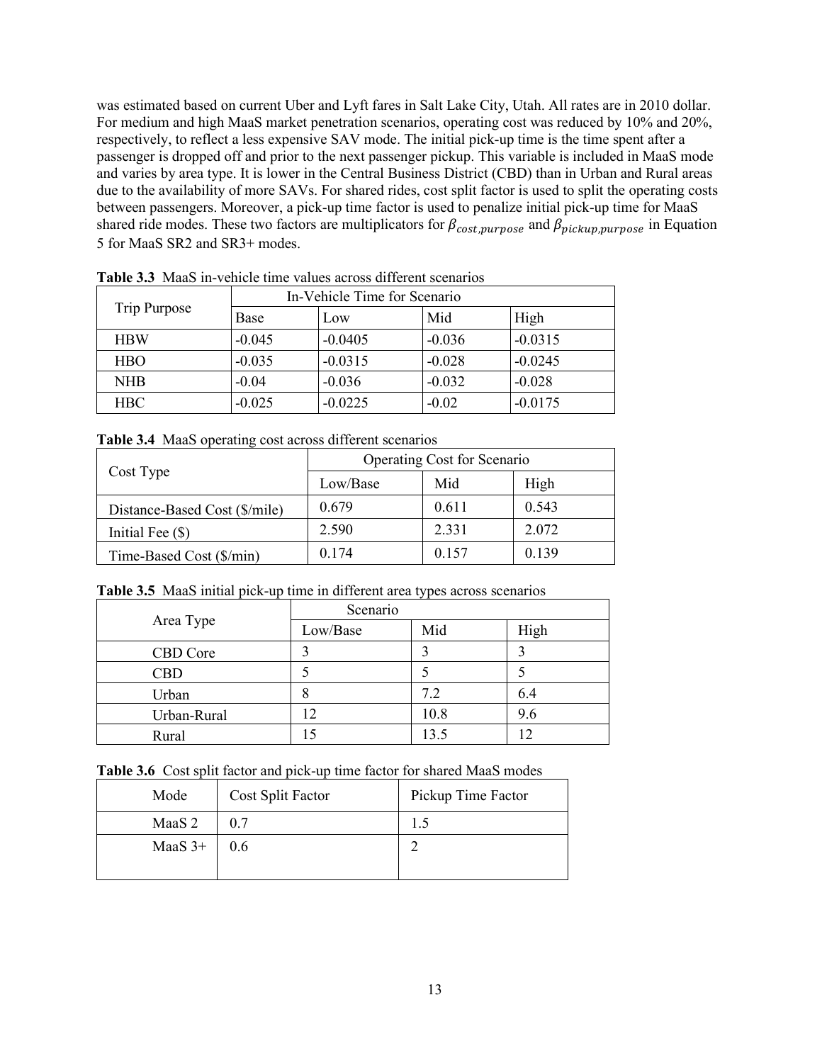was estimated based on current Uber and Lyft fares in Salt Lake City, Utah. All rates are in 2010 dollar. For medium and high MaaS market penetration scenarios, operating cost was reduced by 10% and 20%, respectively, to reflect a less expensive SAV mode. The initial pick-up time is the time spent after a passenger is dropped off and prior to the next passenger pickup. This variable is included in MaaS mode and varies by area type. It is lower in the Central Business District (CBD) than in Urban and Rural areas due to the availability of more SAVs. For shared rides, cost split factor is used to split the operating costs between passengers. Moreover, a pick-up time factor is used to penalize initial pick-up time for MaaS shared ride modes. These two factors are multiplicators for  $\beta_{cost, purpose}$  and  $\beta_{pickup, purpose}$  in Equation 5 for MaaS SR2 and SR3+ modes.

| Trip Purpose |             | In-Vehicle Time for Scenario |          |           |  |  |
|--------------|-------------|------------------------------|----------|-----------|--|--|
|              | <b>Base</b> | Low                          | Mid      | High      |  |  |
| <b>HBW</b>   | $-0.045$    | $-0.0405$                    | $-0.036$ | $-0.0315$ |  |  |
| <b>HBO</b>   | $-0.035$    | $-0.0315$                    | $-0.028$ | $-0.0245$ |  |  |
| <b>NHB</b>   | $-0.04$     | $-0.036$                     | $-0.032$ | $-0.028$  |  |  |
| <b>HBC</b>   | $-0.025$    | $-0.0225$                    | $-0.02$  | $-0.0175$ |  |  |

<span id="page-20-0"></span>**Table 3.3** MaaS in-vehicle time values across different scenarios

<span id="page-20-1"></span>

|  |  |  | Table 3.4 MaaS operating cost across different scenarios |  |  |
|--|--|--|----------------------------------------------------------|--|--|
|--|--|--|----------------------------------------------------------|--|--|

|                               | Operating Cost for Scenario |       |       |  |
|-------------------------------|-----------------------------|-------|-------|--|
| Cost Type                     | Low/Base                    | Mid   | High  |  |
| Distance-Based Cost (\$/mile) | 0.679                       | 0.611 | 0.543 |  |
| Initial Fee $(\$)$            | 2.590                       | 2.331 | 2.072 |  |
| Time-Based Cost (\$/min)      | 0.174                       | 0.157 | 0.139 |  |

<span id="page-20-2"></span>**Table 3.5** MaaS initial pick-up time in different area types across scenarios

| Area Type   | Scenario |      |      |  |
|-------------|----------|------|------|--|
|             | Low/Base | Mid  | High |  |
| CBD Core    |          |      |      |  |
| <b>CBD</b>  |          |      |      |  |
| Urban       |          | 7.2  | 6.4  |  |
| Urban-Rural |          | 10.8 | 9.6  |  |
| Rural       |          | 13.5 |      |  |

<span id="page-20-4"></span><span id="page-20-3"></span>

|  |  |  |  |  |  |  | <b>Table 3.6</b> Cost split factor and pick-up time factor for shared MaaS modes |
|--|--|--|--|--|--|--|----------------------------------------------------------------------------------|
|--|--|--|--|--|--|--|----------------------------------------------------------------------------------|

| Mode      | Cost Split Factor | Pickup Time Factor |
|-----------|-------------------|--------------------|
| MaaS 2    | 0.7               |                    |
| MaaS $3+$ | 0.6               |                    |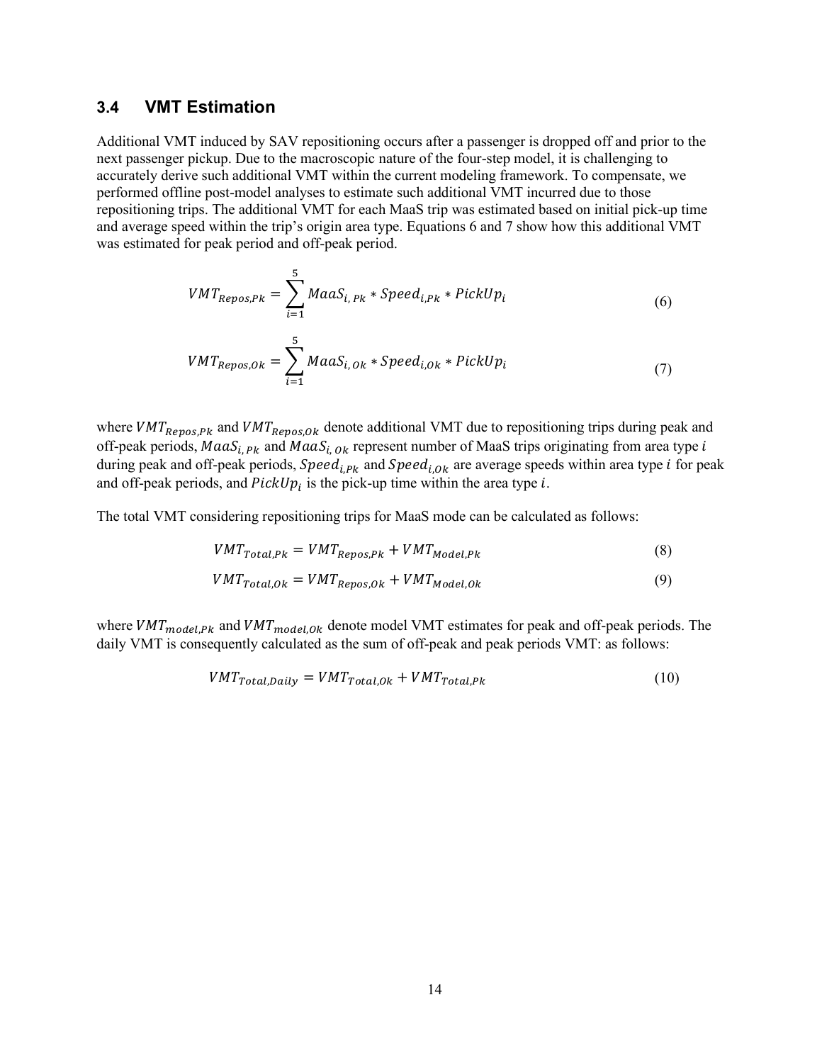#### <span id="page-21-0"></span>**3.4 VMT Estimation**

Additional VMT induced by SAV repositioning occurs after a passenger is dropped off and prior to the next passenger pickup. Due to the macroscopic nature of the four-step model, it is challenging to accurately derive such additional VMT within the current modeling framework. To compensate, we performed offline post-model analyses to estimate such additional VMT incurred due to those repositioning trips. The additional VMT for each MaaS trip was estimated based on initial pick-up time and average speed within the trip's origin area type. Equations 6 and 7 show how this additional VMT was estimated for peak period and off-peak period.

$$
VMT_{Repos,Pk} = \sum_{i=1}^{5} MaaS_{i,Pk} * Speed_{i,Pk} * PickUp_i
$$
\n(6)

$$
VMT_{Repos, Ok} = \sum_{i=1}^{5} M a a S_{i, Ok} * Speed_{i, Ok} * PickUp_i
$$
 (7)

where  $VMT_{Repos,Pk}$  and  $VMT_{Repos, Ok}$  denote additional VMT due to repositioning trips during peak and off-peak periods,  $MaaS_{i, PK}$  and  $MaaS_{i, Ok}$  represent number of MaaS trips originating from area type i during peak and off-peak periods,  $Speed_{i.Pk}$  and  $Speed_{i.Ok}$  are average speeds within area type *i* for peak and off-peak periods, and  $PickUp_i$  is the pick-up time within the area type *i*.

The total VMT considering repositioning trips for MaaS mode can be calculated as follows:

$$
VMT_{Total,PR} = VMT_{Repos,PR} + VMT_{Model,PR}
$$
\n
$$
(8)
$$

$$
VMT_{Total, Ok} = VMT_{Repos, Ok} + VMT_{Model, Ok}
$$
\n(9)

where  $VMT_{model,PK}$  and  $VMT_{model,OK}$  denote model VMT estimates for peak and off-peak periods. The daily VMT is consequently calculated as the sum of off-peak and peak periods VMT: as follows:

$$
VMT_{Total, Daily} = VMT_{Total, Ok} + VMT_{Total,Pk}
$$
\n(10)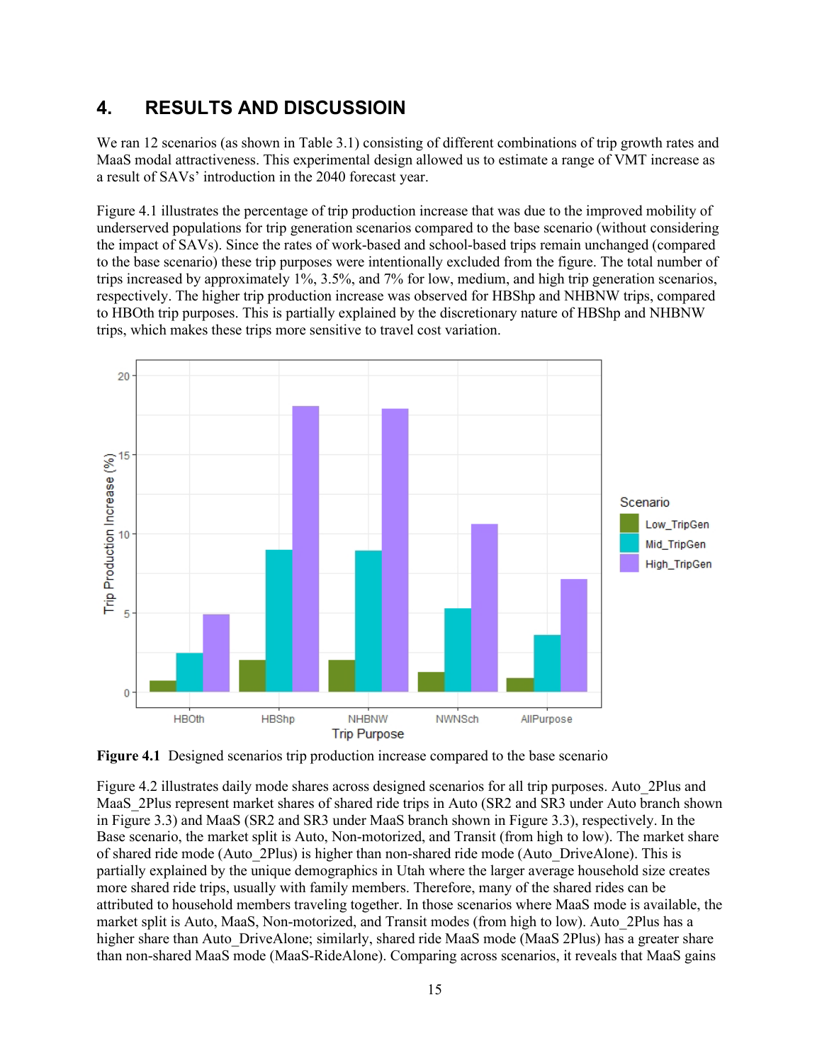## <span id="page-22-0"></span>**4. RESULTS AND DISCUSSIOIN**

We ran 12 scenarios (as shown in Table 3.1) consisting of different combinations of trip growth rates and MaaS modal attractiveness. This experimental design allowed us to estimate a range of VMT increase as a result of SAVs' introduction in the 2040 forecast year.

[Figure 4.](#page-22-1)1 illustrates the percentage of trip production increase that was due to the improved mobility of underserved populations for trip generation scenarios compared to the base scenario (without considering the impact of SAVs). Since the rates of work-based and school-based trips remain unchanged (compared to the base scenario) these trip purposes were intentionally excluded from the figure. The total number of trips increased by approximately 1%, 3.5%, and 7% for low, medium, and high trip generation scenarios, respectively. The higher trip production increase was observed for HBShp and NHBNW trips, compared to HBOth trip purposes. This is partially explained by the discretionary nature of HBShp and NHBNW trips, which makes these trips more sensitive to travel cost variation.



<span id="page-22-1"></span>**Figure 4.1** Designed scenarios trip production increase compared to the base scenario

Figure 4.2 illustrates daily mode shares across designed scenarios for all trip purposes. Auto\_2Plus and MaaS\_2Plus represent market shares of shared ride trips in Auto (SR2 and SR3 under Auto branch shown in Figure 3.3) and MaaS (SR2 and SR3 under MaaS branch shown in Figure 3.3), respectively. In the Base scenario, the market split is Auto, Non-motorized, and Transit (from high to low). The market share of shared ride mode (Auto\_2Plus) is higher than non-shared ride mode (Auto\_DriveAlone). This is partially explained by the unique demographics in Utah where the larger average household size creates more shared ride trips, usually with family members. Therefore, many of the shared rides can be attributed to household members traveling together. In those scenarios where MaaS mode is available, the market split is Auto, MaaS, Non-motorized, and Transit modes (from high to low). Auto\_2Plus has a higher share than Auto DriveAlone; similarly, shared ride MaaS mode (MaaS 2Plus) has a greater share than non-shared MaaS mode (MaaS-RideAlone). Comparing across scenarios, it reveals that MaaS gains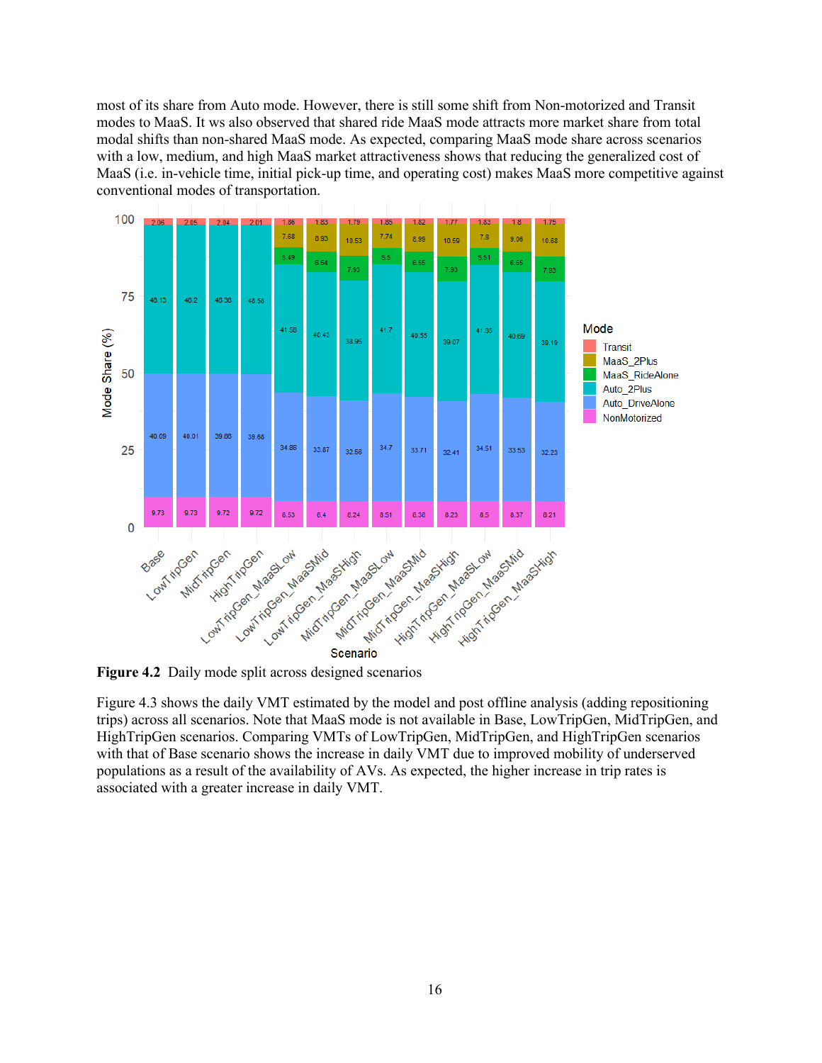most of its share from Auto mode. However, there is still some shift from Non-motorized and Transit modes to MaaS. It ws also observed that shared ride MaaS mode attracts more market share from total modal shifts than non-shared MaaS mode. As expected, comparing MaaS mode share across scenarios with a low, medium, and high MaaS market attractiveness shows that reducing the generalized cost of MaaS (i.e. in-vehicle time, initial pick-up time, and operating cost) makes MaaS more competitive against conventional modes of transportation.



<span id="page-23-0"></span>**Figure 4.2** Daily mode split across designed scenarios

Figure 4.3 shows the daily VMT estimated by the model and post offline analysis (adding repositioning trips) across all scenarios. Note that MaaS mode is not available in Base, LowTripGen, MidTripGen, and HighTripGen scenarios. Comparing VMTs of LowTripGen, MidTripGen, and HighTripGen scenarios with that of Base scenario shows the increase in daily VMT due to improved mobility of underserved populations as a result of the availability of AVs. As expected, the higher increase in trip rates is associated with a greater increase in daily VMT.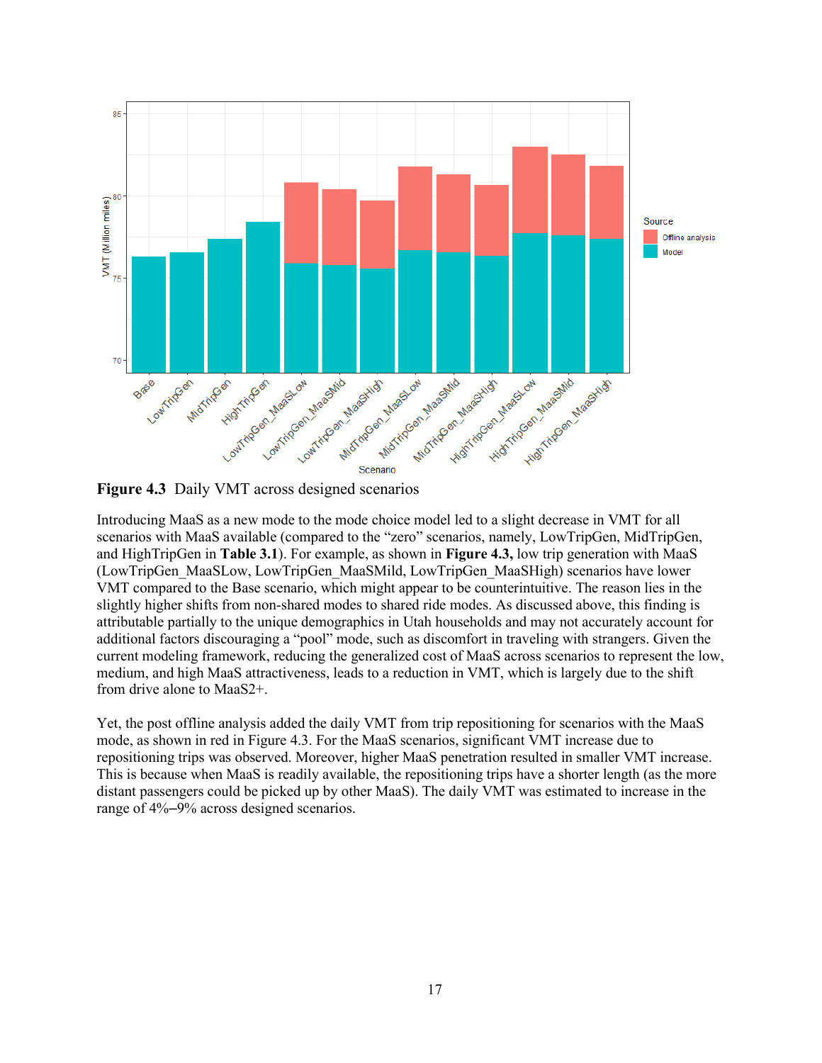

<span id="page-24-0"></span>**Figure 4.3** Daily VMT across designed scenarios

Introducing MaaS as a new mode to the mode choice model led to a slight decrease in VMT for all scenarios with MaaS available (compared to the "zero" scenarios, namely, LowTripGen, MidTripGen, and HighTripGen in **Table 3.1**). For example, as shown in **Figure 4.3,** low trip generation with MaaS (LowTripGen\_MaaSLow, LowTripGen\_MaaSMild, LowTripGen\_MaaSHigh) scenarios have lower VMT compared to the Base scenario, which might appear to be counterintuitive. The reason lies in the slightly higher shifts from non-shared modes to shared ride modes. As discussed above, this finding is attributable partially to the unique demographics in Utah households and may not accurately account for additional factors discouraging a "pool" mode, such as discomfort in traveling with strangers. Given the current modeling framework, reducing the generalized cost of MaaS across scenarios to represent the low, medium, and high MaaS attractiveness, leads to a reduction in VMT, which is largely due to the shift from drive alone to MaaS2+.

Yet, the post offline analysis added the daily VMT from trip repositioning for scenarios with the MaaS mode, as shown in red in Figure 4.3. For the MaaS scenarios, significant VMT increase due to repositioning trips was observed. Moreover, higher MaaS penetration resulted in smaller VMT increase. This is because when MaaS is readily available, the repositioning trips have a shorter length (as the more distant passengers could be picked up by other MaaS). The daily VMT was estimated to increase in the range of 4%–9% across designed scenarios.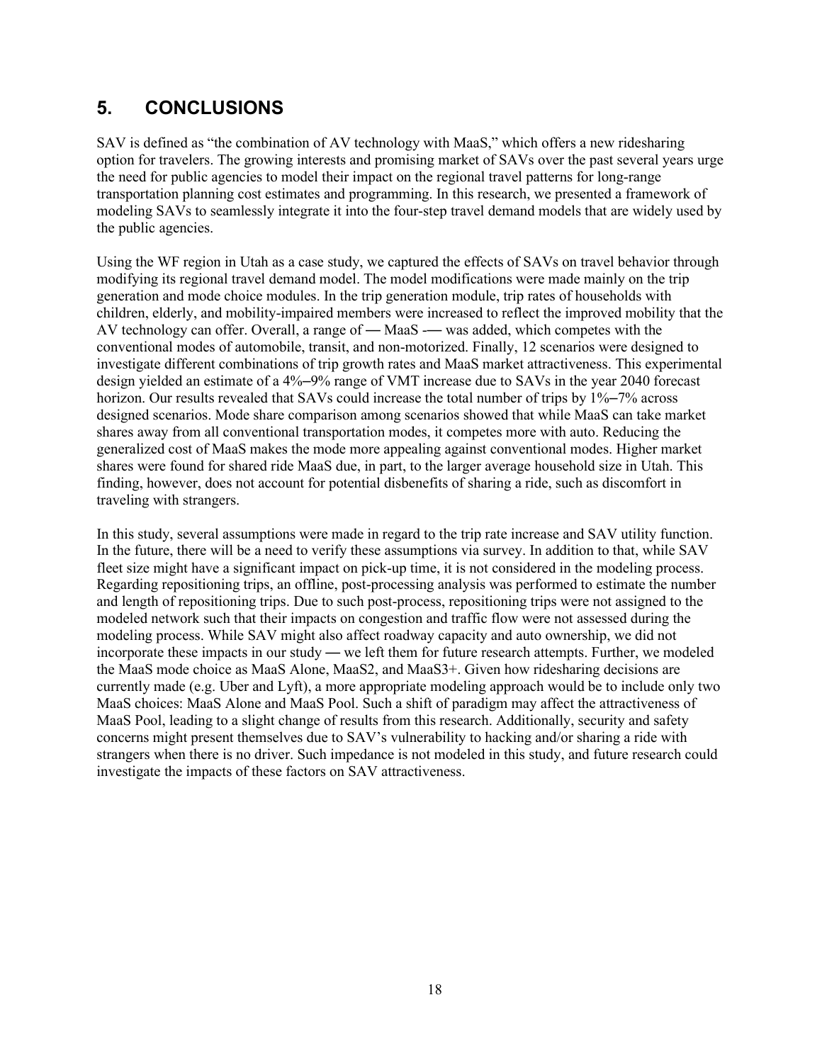## <span id="page-25-0"></span>**5. CONCLUSIONS**

SAV is defined as "the combination of AV technology with MaaS," which offers a new ridesharing option for travelers. The growing interests and promising market of SAVs over the past several years urge the need for public agencies to model their impact on the regional travel patterns for long-range transportation planning cost estimates and programming. In this research, we presented a framework of modeling SAVs to seamlessly integrate it into the four-step travel demand models that are widely used by the public agencies.

Using the WF region in Utah as a case study, we captured the effects of SAVs on travel behavior through modifying its regional travel demand model. The model modifications were made mainly on the trip generation and mode choice modules. In the trip generation module, trip rates of households with children, elderly, and mobility-impaired members were increased to reflect the improved mobility that the AV technology can offer. Overall, a range of  $-$  MaaS  $-$  was added, which competes with the conventional modes of automobile, transit, and non-motorized. Finally, 12 scenarios were designed to investigate different combinations of trip growth rates and MaaS market attractiveness. This experimental design yielded an estimate of a 4%–9% range of VMT increase due to SAVs in the year 2040 forecast horizon. Our results revealed that SAVs could increase the total number of trips by 1%–7% across designed scenarios. Mode share comparison among scenarios showed that while MaaS can take market shares away from all conventional transportation modes, it competes more with auto. Reducing the generalized cost of MaaS makes the mode more appealing against conventional modes. Higher market shares were found for shared ride MaaS due, in part, to the larger average household size in Utah. This finding, however, does not account for potential disbenefits of sharing a ride, such as discomfort in traveling with strangers.

In this study, several assumptions were made in regard to the trip rate increase and SAV utility function. In the future, there will be a need to verify these assumptions via survey. In addition to that, while SAV fleet size might have a significant impact on pick-up time, it is not considered in the modeling process. Regarding repositioning trips, an offline, post-processing analysis was performed to estimate the number and length of repositioning trips. Due to such post-process, repositioning trips were not assigned to the modeled network such that their impacts on congestion and traffic flow were not assessed during the modeling process. While SAV might also affect roadway capacity and auto ownership, we did not incorporate these impacts in our study — we left them for future research attempts. Further, we modeled the MaaS mode choice as MaaS Alone, MaaS2, and MaaS3+. Given how ridesharing decisions are currently made (e.g. Uber and Lyft), a more appropriate modeling approach would be to include only two MaaS choices: MaaS Alone and MaaS Pool. Such a shift of paradigm may affect the attractiveness of MaaS Pool, leading to a slight change of results from this research. Additionally, security and safety concerns might present themselves due to SAV's vulnerability to hacking and/or sharing a ride with strangers when there is no driver. Such impedance is not modeled in this study, and future research could investigate the impacts of these factors on SAV attractiveness.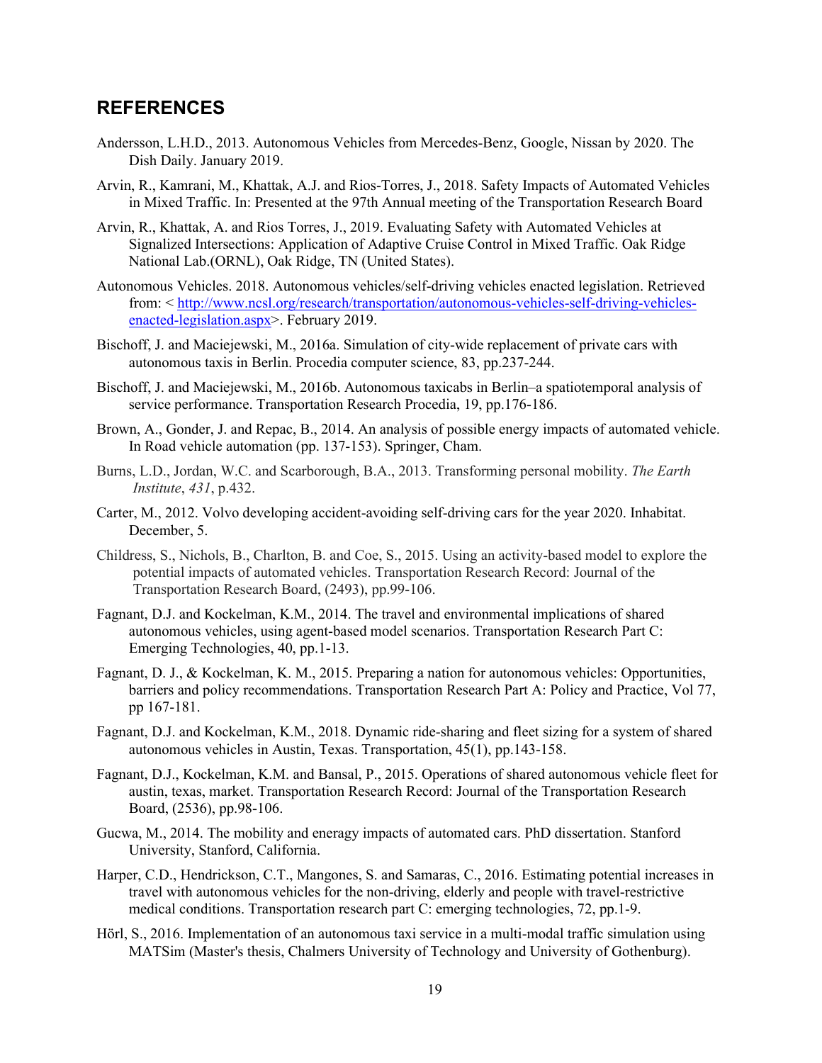#### <span id="page-26-0"></span>**REFERENCES**

- Andersson, L.H.D., 2013. Autonomous Vehicles from Mercedes-Benz, Google, Nissan by 2020. The Dish Daily. January 2019.
- Arvin, R., Kamrani, M., Khattak, A.J. and Rios-Torres, J., 2018. Safety Impacts of Automated Vehicles in Mixed Traffic. In: Presented at the 97th Annual meeting of the Transportation Research Board
- Arvin, R., Khattak, A. and Rios Torres, J., 2019. Evaluating Safety with Automated Vehicles at Signalized Intersections: Application of Adaptive Cruise Control in Mixed Traffic. Oak Ridge National Lab.(ORNL), Oak Ridge, TN (United States).
- Autonomous Vehicles. 2018. Autonomous vehicles/self-driving vehicles enacted legislation. Retrieved from: < [http://www.ncsl.org/research/transportation/autonomous-vehicles-self-driving-vehicles](http://www.ncsl.org/research/transportation/autonomous-vehicles-self-driving-vehicles-enacted-legislation.aspx)[enacted-legislation.aspx>](http://www.ncsl.org/research/transportation/autonomous-vehicles-self-driving-vehicles-enacted-legislation.aspx). February 2019.
- Bischoff, J. and Maciejewski, M., 2016a. Simulation of city-wide replacement of private cars with autonomous taxis in Berlin. Procedia computer science, 83, pp.237-244.
- Bischoff, J. and Maciejewski, M., 2016b. Autonomous taxicabs in Berlin–a spatiotemporal analysis of service performance. Transportation Research Procedia, 19, pp.176-186.
- Brown, A., Gonder, J. and Repac, B., 2014. An analysis of possible energy impacts of automated vehicle. In Road vehicle automation (pp. 137-153). Springer, Cham.
- Burns, L.D., Jordan, W.C. and Scarborough, B.A., 2013. Transforming personal mobility. *The Earth Institute*, *431*, p.432.
- Carter, M., 2012. Volvo developing accident-avoiding self-driving cars for the year 2020. Inhabitat. December, 5.
- Childress, S., Nichols, B., Charlton, B. and Coe, S., 2015. Using an activity-based model to explore the potential impacts of automated vehicles. Transportation Research Record: Journal of the Transportation Research Board, (2493), pp.99-106.
- Fagnant, D.J. and Kockelman, K.M., 2014. The travel and environmental implications of shared autonomous vehicles, using agent-based model scenarios. Transportation Research Part C: Emerging Technologies, 40, pp.1-13.
- Fagnant, D. J., & Kockelman, K. M., 2015. Preparing a nation for autonomous vehicles: Opportunities, barriers and policy recommendations. Transportation Research Part A: Policy and Practice, Vol 77, pp 167-181.
- Fagnant, D.J. and Kockelman, K.M., 2018. Dynamic ride-sharing and fleet sizing for a system of shared autonomous vehicles in Austin, Texas. Transportation, 45(1), pp.143-158.
- Fagnant, D.J., Kockelman, K.M. and Bansal, P., 2015. Operations of shared autonomous vehicle fleet for austin, texas, market. Transportation Research Record: Journal of the Transportation Research Board, (2536), pp.98-106.
- Gucwa, M., 2014. The mobility and eneragy impacts of automated cars. PhD dissertation. Stanford University, Stanford, California.
- Harper, C.D., Hendrickson, C.T., Mangones, S. and Samaras, C., 2016. Estimating potential increases in travel with autonomous vehicles for the non-driving, elderly and people with travel-restrictive medical conditions. Transportation research part C: emerging technologies, 72, pp.1-9.
- Hörl, S., 2016. Implementation of an autonomous taxi service in a multi-modal traffic simulation using MATSim (Master's thesis, Chalmers University of Technology and University of Gothenburg).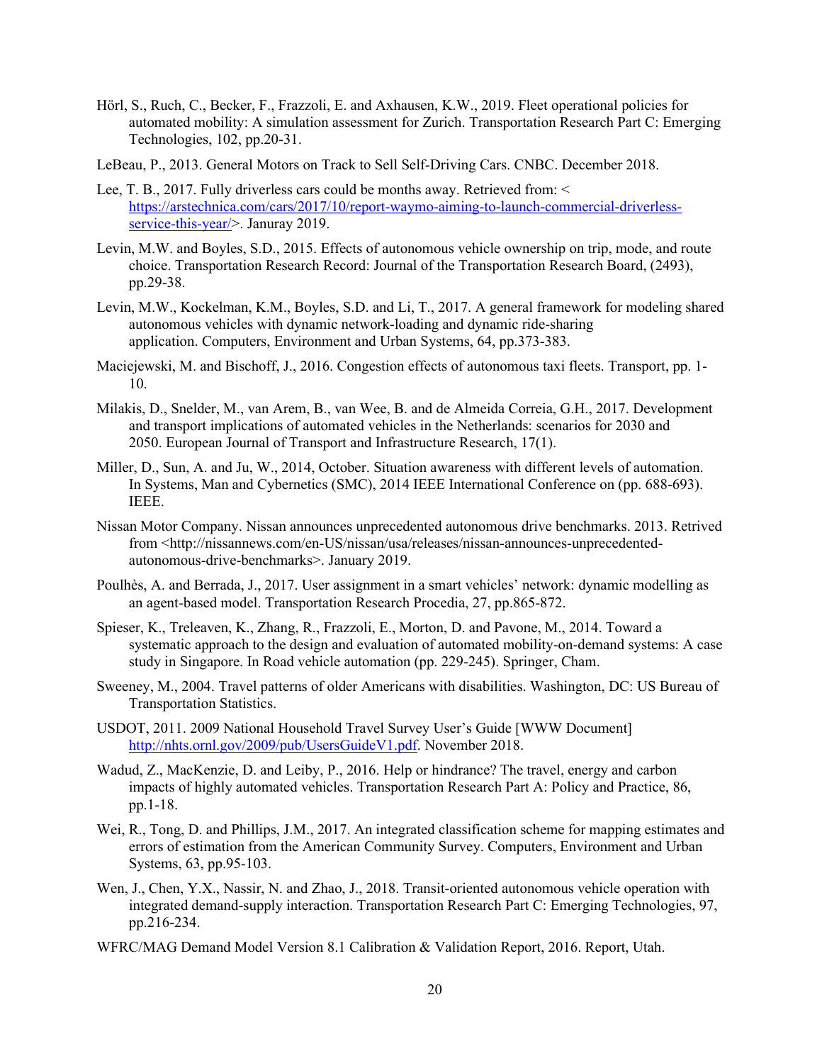- Hörl, S., Ruch, C., Becker, F., Frazzoli, E. and Axhausen, K.W., 2019. Fleet operational policies for automated mobility: A simulation assessment for Zurich. Transportation Research Part C: Emerging Technologies, 102, pp.20-31.
- LeBeau, P., 2013. General Motors on Track to Sell Self-Driving Cars. CNBC. December 2018.
- Lee, T. B., 2017. Fully driverless cars could be months away. Retrieved from: < [https://arstechnica.com/cars/2017/10/report-waymo-aiming-to-launch-commercial-driverless](https://arstechnica.com/cars/2017/10/report-waymo-aiming-to-launch-commercial-driverless-service-this-year/)[service-this-year/>](https://arstechnica.com/cars/2017/10/report-waymo-aiming-to-launch-commercial-driverless-service-this-year/). Januray 2019.
- Levin, M.W. and Boyles, S.D., 2015. Effects of autonomous vehicle ownership on trip, mode, and route choice. Transportation Research Record: Journal of the Transportation Research Board, (2493), pp.29-38.
- Levin, M.W., Kockelman, K.M., Boyles, S.D. and Li, T., 2017. A general framework for modeling shared autonomous vehicles with dynamic network-loading and dynamic ride-sharing application. Computers, Environment and Urban Systems, 64, pp.373-383.
- Maciejewski, M. and Bischoff, J., 2016. Congestion effects of autonomous taxi fleets. Transport, pp. 1- 10.
- Milakis, D., Snelder, M., van Arem, B., van Wee, B. and de Almeida Correia, G.H., 2017. Development and transport implications of automated vehicles in the Netherlands: scenarios for 2030 and 2050. European Journal of Transport and Infrastructure Research, 17(1).
- Miller, D., Sun, A. and Ju, W., 2014, October. Situation awareness with different levels of automation. In Systems, Man and Cybernetics (SMC), 2014 IEEE International Conference on (pp. 688-693). IEEE.
- Nissan Motor Company. Nissan announces unprecedented autonomous drive benchmarks. 2013. Retrived from <http://nissannews.com/en-US/nissan/usa/releases/nissan-announces-unprecedentedautonomous-drive-benchmarks>. January 2019.
- Poulhès, A. and Berrada, J., 2017. User assignment in a smart vehicles' network: dynamic modelling as an agent-based model. Transportation Research Procedia, 27, pp.865-872.
- Spieser, K., Treleaven, K., Zhang, R., Frazzoli, E., Morton, D. and Pavone, M., 2014. Toward a systematic approach to the design and evaluation of automated mobility-on-demand systems: A case study in Singapore. In Road vehicle automation (pp. 229-245). Springer, Cham.
- Sweeney, M., 2004. Travel patterns of older Americans with disabilities. Washington, DC: US Bureau of Transportation Statistics.
- USDOT, 2011. 2009 National Household Travel Survey User's Guide [WWW Document] [http://nhts.ornl.gov/2009/pub/UsersGuideV1.pdf.](http://nhts.ornl.gov/2009/pub/UsersGuideV1.pdf) November 2018.
- Wadud, Z., MacKenzie, D. and Leiby, P., 2016. Help or hindrance? The travel, energy and carbon impacts of highly automated vehicles. Transportation Research Part A: Policy and Practice, 86, pp.1-18.
- Wei, R., Tong, D. and Phillips, J.M., 2017. An integrated classification scheme for mapping estimates and errors of estimation from the American Community Survey. Computers, Environment and Urban Systems, 63, pp.95-103.
- Wen, J., Chen, Y.X., Nassir, N. and Zhao, J., 2018. Transit-oriented autonomous vehicle operation with integrated demand-supply interaction. Transportation Research Part C: Emerging Technologies, 97, pp.216-234.
- WFRC/MAG Demand Model Version 8.1 Calibration & Validation Report, 2016. Report, Utah.